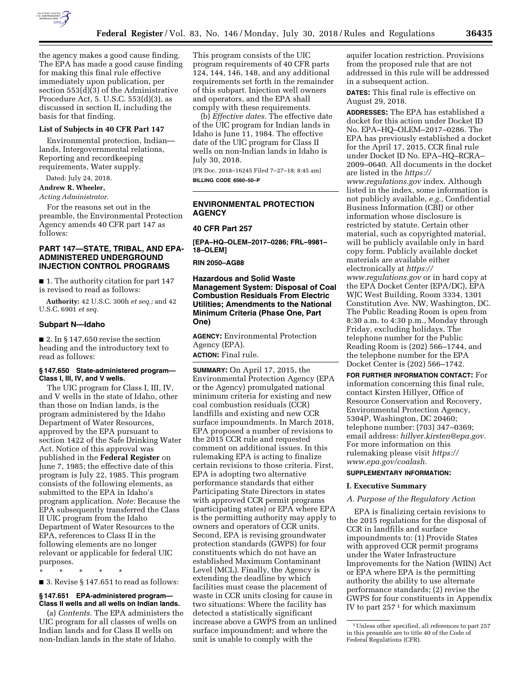

the agency makes a good cause finding. The EPA has made a good cause finding for making this final rule effective immediately upon publication, per section 553(d)(3) of the Administrative Procedure Act, 5. U.S.C. 553(d)(3), as discussed in section II, including the basis for that finding.

## **List of Subjects in 40 CFR Part 147**

Environmental protection, Indian lands, Intergovernmental relations, Reporting and recordkeeping requirements, Water supply.

Dated: July 24, 2018.

#### **Andrew R. Wheeler,**

*Acting Administrator.* 

For the reasons set out in the preamble, the Environmental Protection Agency amends 40 CFR part 147 as follows:

## **PART 147—STATE, TRIBAL, AND EPA-ADMINISTERED UNDERGROUND INJECTION CONTROL PROGRAMS**

■ 1. The authority citation for part 147 is revised to read as follows:

**Authority:** 42 U.S.C. 300h *et seq.;* and 42 U.S.C. 6901 *et seq.* 

#### **Subpart N—Idaho**

■ 2. In § 147.650 revise the section heading and the introductory text to read as follows:

#### **§ 147.650 State-administered program— Class I, III, IV, and V wells.**

The UIC program for Class I, III, IV, and V wells in the state of Idaho, other than those on Indian lands, is the program administered by the Idaho Department of Water Resources, approved by the EPA pursuant to section 1422 of the Safe Drinking Water Act. Notice of this approval was published in the **Federal Register** on June 7, 1985; the effective date of this program is July 22, 1985. This program consists of the following elements, as submitted to the EPA in Idaho's program application. *Note:* Because the EPA subsequently transferred the Class II UIC program from the Idaho Department of Water Resources to the EPA, references to Class II in the following elements are no longer relevant or applicable for federal UIC purposes.

\* \* \* \* \*

■ 3. Revise § 147.651 to read as follows:

## **§ 147.651 EPA-administered program— Class II wells and all wells on Indian lands.**

(a) *Contents.* The EPA administers the UIC program for all classes of wells on Indian lands and for Class II wells on non-Indian lands in the state of Idaho.

This program consists of the UIC program requirements of 40 CFR parts 124, 144, 146, 148, and any additional requirements set forth in the remainder of this subpart. Injection well owners and operators, and the EPA shall comply with these requirements.

(b) *Effective dates.* The effective date of the UIC program for Indian lands in Idaho is June 11, 1984. The effective date of the UIC program for Class II wells on non-Indian lands in Idaho is July 30, 2018.

[FR Doc. 2018–16245 Filed 7–27–18; 8:45 am] **BILLING CODE 6560–50–P** 

## **ENVIRONMENTAL PROTECTION AGENCY**

### **40 CFR Part 257**

**[EPA–HQ–OLEM–2017–0286; FRL–9981– 18–OLEM]** 

### **RIN 2050–AG88**

**Hazardous and Solid Waste Management System: Disposal of Coal Combustion Residuals From Electric Utilities; Amendments to the National Minimum Criteria (Phase One, Part One)** 

**AGENCY:** Environmental Protection Agency (EPA).

**ACTION:** Final rule.

**SUMMARY:** On April 17, 2015, the Environmental Protection Agency (EPA or the Agency) promulgated national minimum criteria for existing and new coal combustion residuals (CCR) landfills and existing and new CCR surface impoundments. In March 2018, EPA proposed a number of revisions to the 2015 CCR rule and requested comment on additional issues. In this rulemaking EPA is acting to finalize certain revisions to those criteria. First, EPA is adopting two alternative performance standards that either Participating State Directors in states with approved CCR permit programs (participating states) or EPA where EPA is the permitting authority may apply to owners and operators of CCR units. Second, EPA is revising groundwater protection standards (GWPS) for four constituents which do not have an established Maximum Contaminant Level (MCL). Finally, the Agency is extending the deadline by which facilities must cease the placement of waste in CCR units closing for cause in two situations: Where the facility has detected a statistically significant increase above a GWPS from an unlined surface impoundment; and where the unit is unable to comply with the

aquifer location restriction. Provisions from the proposed rule that are not addressed in this rule will be addressed in a subsequent action.

**DATES:** This final rule is effective on August 29, 2018.

**ADDRESSES:** The EPA has established a docket for this action under Docket ID No. EPA–HQ–OLEM–2017–0286. The EPA has previously established a docket for the April 17, 2015, CCR final rule under Docket ID No. EPA–HQ–RCRA– 2009–0640. All documents in the docket are listed in the *[https://](https://www.regulations.gov) [www.regulations.gov](https://www.regulations.gov)* index. Although listed in the index, some information is not publicly available, *e.g.,* Confidential Business Information (CBI) or other information whose disclosure is restricted by statute. Certain other material, such as copyrighted material, will be publicly available only in hard copy form. Publicly available docket materials are available either electronically at *[https://](https://www.regulations.gov) [www.regulations.gov](https://www.regulations.gov)* or in hard copy at the EPA Docket Center (EPA/DC), EPA WJC West Building, Room 3334, 1301 Constitution Ave. NW, Washington, DC. The Public Reading Room is open from 8:30 a.m. to 4:30 p.m., Monday through Friday, excluding holidays. The telephone number for the Public Reading Room is (202) 566–1744, and the telephone number for the EPA Docket Center is (202) 566–1742.

**FOR FURTHER INFORMATION CONTACT:** For information concerning this final rule, contact Kirsten Hillyer, Office of Resource Conservation and Recovery, Environmental Protection Agency, 5304P, Washington, DC 20460; telephone number: (703) 347–0369; email address: *[hillyer.kirsten@epa.gov.](mailto:hillyer.kirsten@epa.gov)*  For more information on this rulemaking please visit *[https://](https://www.epa.gov/coalash) [www.epa.gov/coalash.](https://www.epa.gov/coalash)* 

# **SUPPLEMENTARY INFORMATION:**

#### **I. Executive Summary**

#### *A. Purpose of the Regulatory Action*

EPA is finalizing certain revisions to the 2015 regulations for the disposal of CCR in landfills and surface impoundments to: (1) Provide States with approved CCR permit programs under the Water Infrastructure Improvements for the Nation (WIIN) Act or EPA where EPA is the permitting authority the ability to use alternate performance standards; (2) revise the GWPS for four constituents in Appendix IV to part 257 1 for which maximum

<sup>1</sup>Unless other specified, all references to part 257 in this preamble are to title 40 of the Code of Federal Regulations (CFR).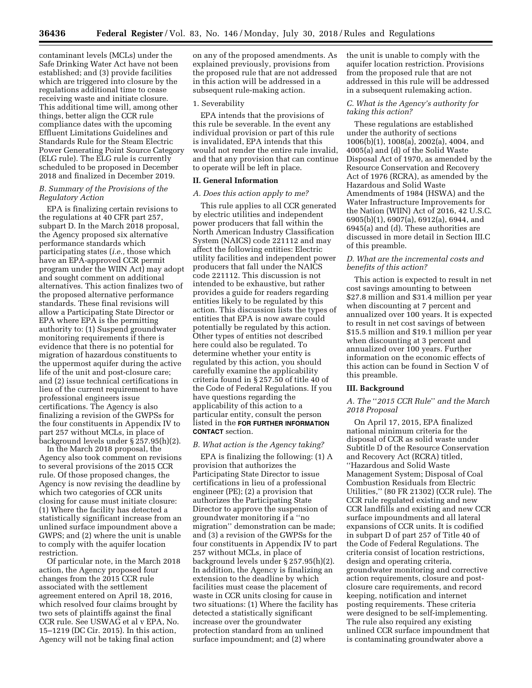contaminant levels (MCLs) under the Safe Drinking Water Act have not been established; and (3) provide facilities which are triggered into closure by the regulations additional time to cease receiving waste and initiate closure. This additional time will, among other things, better align the CCR rule compliance dates with the upcoming Effluent Limitations Guidelines and Standards Rule for the Steam Electric Power Generating Point Source Category (ELG rule). The ELG rule is currently scheduled to be proposed in December 2018 and finalized in December 2019.

### *B. Summary of the Provisions of the Regulatory Action*

EPA is finalizing certain revisions to the regulations at 40 CFR part 257, subpart D. In the March 2018 proposal, the Agency proposed six alternative performance standards which participating states (*i.e.,* those which have an EPA-approved CCR permit program under the WIIN Act) may adopt and sought comment on additional alternatives. This action finalizes two of the proposed alternative performance standards. These final revisions will allow a Participating State Director or EPA where EPA is the permitting authority to: (1) Suspend groundwater monitoring requirements if there is evidence that there is no potential for migration of hazardous constituents to the uppermost aquifer during the active life of the unit and post-closure care; and (2) issue technical certifications in lieu of the current requirement to have professional engineers issue certifications. The Agency is also finalizing a revision of the GWPSs for the four constituents in Appendix IV to part 257 without MCLs, in place of background levels under § 257.95(h)(2).

In the March 2018 proposal, the Agency also took comment on revisions to several provisions of the 2015 CCR rule. Of those proposed changes, the Agency is now revising the deadline by which two categories of CCR units closing for cause must initiate closure: (1) Where the facility has detected a statistically significant increase from an unlined surface impoundment above a GWPS; and (2) where the unit is unable to comply with the aquifer location restriction.

Of particular note, in the March 2018 action, the Agency proposed four changes from the 2015 CCR rule associated with the settlement agreement entered on April 18, 2016, which resolved four claims brought by two sets of plaintiffs against the final CCR rule. See USWAG et al v EPA, No. 15–1219 (DC Cir. 2015). In this action, Agency will not be taking final action

on any of the proposed amendments. As explained previously, provisions from the proposed rule that are not addressed in this action will be addressed in a subsequent rule-making action.

### 1. Severability

EPA intends that the provisions of this rule be severable. In the event any individual provision or part of this rule is invalidated, EPA intends that this would not render the entire rule invalid, and that any provision that can continue to operate will be left in place.

### **II. General Information**

#### *A. Does this action apply to me?*

This rule applies to all CCR generated by electric utilities and independent power producers that fall within the North American Industry Classification System (NAICS) code 221112 and may affect the following entities: Electric utility facilities and independent power producers that fall under the NAICS code 221112. This discussion is not intended to be exhaustive, but rather provides a guide for readers regarding entities likely to be regulated by this action. This discussion lists the types of entities that EPA is now aware could potentially be regulated by this action. Other types of entities not described here could also be regulated. To determine whether your entity is regulated by this action, you should carefully examine the applicability criteria found in § 257.50 of title 40 of the Code of Federal Regulations. If you have questions regarding the applicability of this action to a particular entity, consult the person listed in the **FOR FURTHER INFORMATION CONTACT** section.

## *B. What action is the Agency taking?*

EPA is finalizing the following: (1) A provision that authorizes the Participating State Director to issue certifications in lieu of a professional engineer (PE); (2) a provision that authorizes the Participating State Director to approve the suspension of groundwater monitoring if a ''no migration'' demonstration can be made; and (3) a revision of the GWPSs for the four constituents in Appendix IV to part 257 without MCLs, in place of background levels under § 257.95(h)(2). In addition, the Agency is finalizing an extension to the deadline by which facilities must cease the placement of waste in CCR units closing for cause in two situations: (1) Where the facility has detected a statistically significant increase over the groundwater protection standard from an unlined surface impoundment; and (2) where

the unit is unable to comply with the aquifer location restriction. Provisions from the proposed rule that are not addressed in this rule will be addressed in a subsequent rulemaking action.

## *C. What is the Agency's authority for taking this action?*

These regulations are established under the authority of sections 1006(b)(1), 1008(a), 2002(a), 4004, and 4005(a) and (d) of the Solid Waste Disposal Act of 1970, as amended by the Resource Conservation and Recovery Act of 1976 (RCRA), as amended by the Hazardous and Solid Waste Amendments of 1984 (HSWA) and the Water Infrastructure Improvements for the Nation (WIIN) Act of 2016, 42 U.S.C. 6905(b)(1), 6907(a), 6912(a), 6944, and 6945(a) and (d). These authorities are discussed in more detail in Section III.C of this preamble.

## *D. What are the incremental costs and benefits of this action?*

This action is expected to result in net cost savings amounting to between \$27.8 million and \$31.4 million per year when discounting at 7 percent and annualized over 100 years. It is expected to result in net cost savings of between \$15.5 million and \$19.1 million per year when discounting at 3 percent and annualized over 100 years. Further information on the economic effects of this action can be found in Section V of this preamble.

#### **III. Background**

## *A. The* ''*2015 CCR Rule*'' *and the March 2018 Proposal*

On April 17, 2015, EPA finalized national minimum criteria for the disposal of CCR as solid waste under Subtitle D of the Resource Conservation and Recovery Act (RCRA) titled, ''Hazardous and Solid Waste Management System; Disposal of Coal Combustion Residuals from Electric Utilities,'' (80 FR 21302) (CCR rule). The CCR rule regulated existing and new CCR landfills and existing and new CCR surface impoundments and all lateral expansions of CCR units. It is codified in subpart D of part 257 of Title 40 of the Code of Federal Regulations. The criteria consist of location restrictions, design and operating criteria, groundwater monitoring and corrective action requirements, closure and postclosure care requirements, and record keeping, notification and internet posting requirements. These criteria were designed to be self-implementing. The rule also required any existing unlined CCR surface impoundment that is contaminating groundwater above a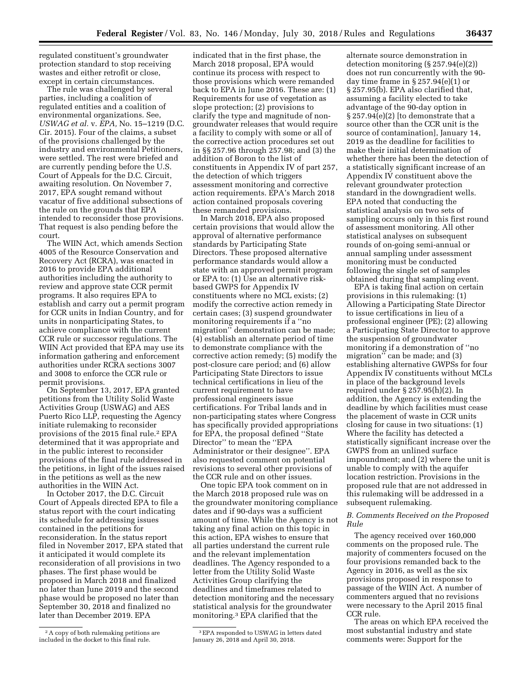regulated constituent's groundwater protection standard to stop receiving wastes and either retrofit or close, except in certain circumstances.

The rule was challenged by several parties, including a coalition of regulated entities and a coalition of environmental organizations. See, *USWAG et al.* v. *EPA,* No. 15–1219 (D.C. Cir. 2015). Four of the claims, a subset of the provisions challenged by the industry and environmental Petitioners, were settled. The rest were briefed and are currently pending before the U.S. Court of Appeals for the D.C. Circuit, awaiting resolution. On November 7, 2017, EPA sought remand without vacatur of five additional subsections of the rule on the grounds that EPA intended to reconsider those provisions. That request is also pending before the court.

The WIIN Act, which amends Section 4005 of the Resource Conservation and Recovery Act (RCRA), was enacted in 2016 to provide EPA additional authorities including the authority to review and approve state CCR permit programs. It also requires EPA to establish and carry out a permit program for CCR units in Indian Country, and for units in nonparticipating States, to achieve compliance with the current CCR rule or successor regulations. The WIIN Act provided that EPA may use its information gathering and enforcement authorities under RCRA sections 3007 and 3008 to enforce the CCR rule or permit provisions.

On September 13, 2017, EPA granted petitions from the Utility Solid Waste Activities Group (USWAG) and AES Puerto Rico LLP, requesting the Agency initiate rulemaking to reconsider provisions of the 2015 final rule.2 EPA determined that it was appropriate and in the public interest to reconsider provisions of the final rule addressed in the petitions, in light of the issues raised in the petitions as well as the new authorities in the WIIN Act.

In October 2017, the D.C. Circuit Court of Appeals directed EPA to file a status report with the court indicating its schedule for addressing issues contained in the petitions for reconsideration. In the status report filed in November 2017, EPA stated that it anticipated it would complete its reconsideration of all provisions in two phases. The first phase would be proposed in March 2018 and finalized no later than June 2019 and the second phase would be proposed no later than September 30, 2018 and finalized no later than December 2019. EPA

indicated that in the first phase, the March 2018 proposal, EPA would continue its process with respect to those provisions which were remanded back to EPA in June 2016. These are: (1) Requirements for use of vegetation as slope protection; (2) provisions to clarify the type and magnitude of nongroundwater releases that would require a facility to comply with some or all of the corrective action procedures set out in §§ 257.96 through 257.98; and (3) the addition of Boron to the list of constituents in Appendix IV of part 257, the detection of which triggers assessment monitoring and corrective action requirements. EPA's March 2018 action contained proposals covering these remanded provisions.

In March 2018, EPA also proposed certain provisions that would allow the approval of alternative performance standards by Participating State Directors. These proposed alternative performance standards would allow a state with an approved permit program or EPA to: (1) Use an alternative riskbased GWPS for Appendix IV constituents where no MCL exists; (2) modify the corrective action remedy in certain cases; (3) suspend groundwater monitoring requirements if a ''no migration'' demonstration can be made; (4) establish an alternate period of time to demonstrate compliance with the corrective action remedy; (5) modify the post-closure care period; and (6) allow Participating State Directors to issue technical certifications in lieu of the current requirement to have professional engineers issue certifications. For Tribal lands and in non-participating states where Congress has specifically provided appropriations for EPA, the proposal defined ''State Director'' to mean the ''EPA Administrator or their designee''. EPA also requested comment on potential revisions to several other provisions of the CCR rule and on other issues.

One topic EPA took comment on in the March 2018 proposed rule was on the groundwater monitoring compliance dates and if 90-days was a sufficient amount of time. While the Agency is not taking any final action on this topic in this action, EPA wishes to ensure that all parties understand the current rule and the relevant implementation deadlines. The Agency responded to a letter from the Utility Solid Waste Activities Group clarifying the deadlines and timeframes related to detection monitoring and the necessary statistical analysis for the groundwater monitoring.3 EPA clarified that the

3EPA responded to USWAG in letters dated January 26, 2018 and April 30, 2018.

alternate source demonstration in detection monitoring (§ 257.94(e)(2)) does not run concurrently with the 90 day time frame in § 257.94(e)(1) or § 257.95(b). EPA also clarified that, assuming a facility elected to take advantage of the 90-day option in  $\S 257.94(e)(2)$  [to demonstrate that a source other than the CCR unit is the source of contamination], January 14, 2019 as the deadline for facilities to make their initial determination of whether there has been the detection of a statistically significant increase of an Appendix IV constituent above the relevant groundwater protection standard in the downgradient wells. EPA noted that conducting the statistical analysis on two sets of sampling occurs only in this first round of assessment monitoring. All other statistical analyses on subsequent rounds of on-going semi-annual or annual sampling under assessment monitoring must be conducted following the single set of samples obtained during that sampling event.

EPA is taking final action on certain provisions in this rulemaking: (1) Allowing a Participating State Director to issue certifications in lieu of a professional engineer (PE); (2) allowing a Participating State Director to approve the suspension of groundwater monitoring if a demonstration of ''no migration'' can be made; and (3) establishing alternative GWPSs for four Appendix IV constituents without MCLs in place of the background levels required under § 257.95(h)(2). In addition, the Agency is extending the deadline by which facilities must cease the placement of waste in CCR units closing for cause in two situations: (1) Where the facility has detected a statistically significant increase over the GWPS from an unlined surface impoundment; and (2) where the unit is unable to comply with the aquifer location restriction. Provisions in the proposed rule that are not addressed in this rulemaking will be addressed in a subsequent rulemaking.

## *B. Comments Received on the Proposed Rule*

The agency received over 160,000 comments on the proposed rule. The majority of commenters focused on the four provisions remanded back to the Agency in 2016, as well as the six provisions proposed in response to passage of the WIIN Act. A number of commenters argued that no revisions were necessary to the April 2015 final CCR rule.

The areas on which EPA received the most substantial industry and state comments were: Support for the

<sup>2</sup>A copy of both rulemaking petitions are included in the docket to this final rule.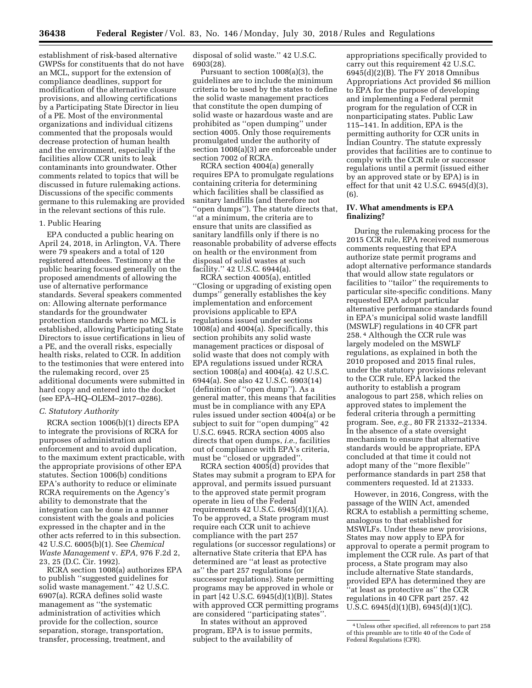establishment of risk-based alternative GWPSs for constituents that do not have an MCL, support for the extension of compliance deadlines, support for modification of the alternative closure provisions, and allowing certifications by a Participating State Director in lieu of a PE. Most of the environmental organizations and individual citizens commented that the proposals would decrease protection of human health and the environment, especially if the facilities allow CCR units to leak contaminants into groundwater. Other comments related to topics that will be discussed in future rulemaking actions. Discussions of the specific comments germane to this rulemaking are provided in the relevant sections of this rule.

### 1. Public Hearing

EPA conducted a public hearing on April 24, 2018, in Arlington, VA. There were 79 speakers and a total of 120 registered attendees. Testimony at the public hearing focused generally on the proposed amendments of allowing the use of alternative performance standards. Several speakers commented on: Allowing alternate performance standards for the groundwater protection standards where no MCL is established, allowing Participating State Directors to issue certifications in lieu of a PE, and the overall risks, especially health risks, related to CCR. In addition to the testimonies that were entered into the rulemaking record, over 25 additional documents were submitted in hard copy and entered into the docket (see EPA–HQ–OLEM–2017–0286).

#### *C. Statutory Authority*

RCRA section 1006(b)(1) directs EPA to integrate the provisions of RCRA for purposes of administration and enforcement and to avoid duplication, to the maximum extent practicable, with the appropriate provisions of other EPA statutes. Section 1006(b) conditions EPA's authority to reduce or eliminate RCRA requirements on the Agency's ability to demonstrate that the integration can be done in a manner consistent with the goals and policies expressed in the chapter and in the other acts referred to in this subsection. 42 U.S.C. 6005(b)(1). See *Chemical Waste Management* v. *EPA,* 976 F.2d 2, 23, 25 (D.C. Cir. 1992).

RCRA section 1008(a) authorizes EPA to publish ''suggested guidelines for solid waste management.'' 42 U.S.C. 6907(a). RCRA defines solid waste management as ''the systematic administration of activities which provide for the collection, source separation, storage, transportation, transfer, processing, treatment, and

disposal of solid waste.'' 42 U.S.C. 6903(28).

Pursuant to section 1008(a)(3), the guidelines are to include the minimum criteria to be used by the states to define the solid waste management practices that constitute the open dumping of solid waste or hazardous waste and are prohibited as ''open dumping'' under section 4005. Only those requirements promulgated under the authority of section 1008(a)(3) are enforceable under section 7002 of RCRA.

RCRA section 4004(a) generally requires EPA to promulgate regulations containing criteria for determining which facilities shall be classified as sanitary landfills (and therefore not ''open dumps''). The statute directs that, ''at a minimum, the criteria are to ensure that units are classified as sanitary landfills only if there is no reasonable probability of adverse effects on health or the environment from disposal of solid wastes at such facility.'' 42 U.S.C. 6944(a).

RCRA section 4005(a), entitled ''Closing or upgrading of existing open dumps'' generally establishes the key implementation and enforcement provisions applicable to EPA regulations issued under sections 1008(a) and 4004(a). Specifically, this section prohibits any solid waste management practices or disposal of solid waste that does not comply with EPA regulations issued under RCRA section 1008(a) and 4004(a). 42 U.S.C. 6944(a). See also 42 U.S.C. 6903(14) (definition of ''open dump''). As a general matter, this means that facilities must be in compliance with any EPA rules issued under section 4004(a) or be subject to suit for ''open dumping'' 42 U.S.C. 6945. RCRA section 4005 also directs that open dumps, *i.e.,* facilities out of compliance with EPA's criteria, must be "closed or upgraded"

RCRA section 4005(d) provides that States may submit a program to EPA for approval, and permits issued pursuant to the approved state permit program operate in lieu of the Federal requirements 42 U.S.C. 6945(d)(1)(A). To be approved, a State program must require each CCR unit to achieve compliance with the part 257 regulations (or successor regulations) or alternative State criteria that EPA has determined are ''at least as protective as'' the part 257 regulations (or successor regulations). State permitting programs may be approved in whole or in part [42 U.S.C. 6945(d)(1)(B)]. States with approved CCR permitting programs are considered ''participating states''.

In states without an approved program, EPA is to issue permits, subject to the availability of

appropriations specifically provided to carry out this requirement 42 U.S.C. 6945(d)(2)(B). The FY 2018 Omnibus Appropriations Act provided \$6 million to EPA for the purpose of developing and implementing a Federal permit program for the regulation of CCR in nonparticipating states. Public Law 115–141. In addition, EPA is the permitting authority for CCR units in Indian Country. The statute expressly provides that facilities are to continue to comply with the CCR rule or successor regulations until a permit (issued either by an approved state or by EPA) is in effect for that unit 42 U.S.C. 6945(d)(3), (6).

### **IV. What amendments is EPA finalizing?**

During the rulemaking process for the 2015 CCR rule, EPA received numerous comments requesting that EPA authorize state permit programs and adopt alternative performance standards that would allow state regulators or facilities to "tailor" the requirements to particular site-specific conditions. Many requested EPA adopt particular alternative performance standards found in EPA's municipal solid waste landfill (MSWLF) regulations in 40 CFR part 258. 4 Although the CCR rule was largely modeled on the MSWLF regulations, as explained in both the 2010 proposed and 2015 final rules, under the statutory provisions relevant to the CCR rule, EPA lacked the authority to establish a program analogous to part 258, which relies on approved states to implement the federal criteria through a permitting program. See, *e.g.,* 80 FR 21332–21334. In the absence of a state oversight mechanism to ensure that alternative standards would be appropriate, EPA concluded at that time it could not adopt many of the ''more flexible'' performance standards in part 258 that commenters requested. Id at 21333.

However, in 2016, Congress, with the passage of the WIIN Act, amended RCRA to establish a permitting scheme, analogous to that established for MSWLFs. Under these new provisions, States may now apply to EPA for approval to operate a permit program to implement the CCR rule. As part of that process, a State program may also include alternative State standards, provided EPA has determined they are ''at least as protective as'' the CCR regulations in 40 CFR part 257. 42 U.S.C. 6945(d)(1)(B), 6945(d)(1)(C).

<sup>4</sup>Unless other specified, all references to part 258 of this preamble are to title 40 of the Code of Federal Regulations (CFR).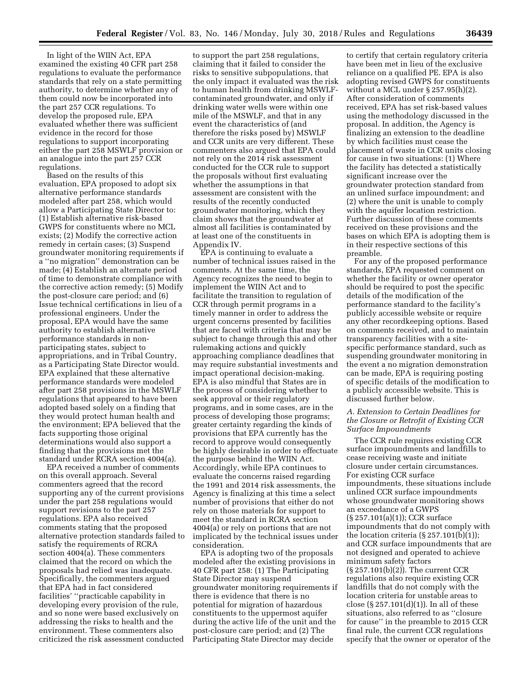In light of the WIIN Act, EPA examined the existing 40 CFR part 258 regulations to evaluate the performance standards that rely on a state permitting authority, to determine whether any of them could now be incorporated into the part 257 CCR regulations. To develop the proposed rule, EPA evaluated whether there was sufficient evidence in the record for those regulations to support incorporating either the part 258 MSWLF provision or an analogue into the part 257 CCR regulations.

Based on the results of this evaluation, EPA proposed to adopt six alternative performance standards modeled after part 258, which would allow a Participating State Director to: (1) Establish alternative risk-based GWPS for constituents where no MCL exists; (2) Modify the corrective action remedy in certain cases; (3) Suspend groundwater monitoring requirements if a ''no migration'' demonstration can be made; (4) Establish an alternate period of time to demonstrate compliance with the corrective action remedy; (5) Modify the post-closure care period; and (6) Issue technical certifications in lieu of a professional engineers. Under the proposal, EPA would have the same authority to establish alternative performance standards in nonparticipating states, subject to appropriations, and in Tribal Country, as a Participating State Director would. EPA explained that these alternative performance standards were modeled after part 258 provisions in the MSWLF regulations that appeared to have been adopted based solely on a finding that they would protect human health and the environment; EPA believed that the facts supporting those original determinations would also support a finding that the provisions met the standard under RCRA section 4004(a).

EPA received a number of comments on this overall approach. Several commenters agreed that the record supporting any of the current provisions under the part 258 regulations would support revisions to the part 257 regulations. EPA also received comments stating that the proposed alternative protection standards failed to satisfy the requirements of RCRA section 4004(a). These commenters claimed that the record on which the proposals had relied was inadequate. Specifically, the commenters argued that EPA had in fact considered facilities' ''practicable capability in developing every provision of the rule, and so none were based exclusively on addressing the risks to health and the environment. These commenters also criticized the risk assessment conducted

to support the part 258 regulations, claiming that it failed to consider the risks to sensitive subpopulations, that the only impact it evaluated was the risk to human health from drinking MSWLFcontaminated groundwater, and only if drinking water wells were within one mile of the MSWLF, and that in any event the characteristics of (and therefore the risks posed by) MSWLF and CCR units are very different. These commenters also argued that EPA could not rely on the 2014 risk assessment conducted for the CCR rule to support the proposals without first evaluating whether the assumptions in that assessment are consistent with the results of the recently conducted groundwater monitoring, which they claim shows that the groundwater at almost all facilities is contaminated by at least one of the constituents in Appendix IV.

EPA is continuing to evaluate a number of technical issues raised in the comments. At the same time, the Agency recognizes the need to begin to implement the WIIN Act and to facilitate the transition to regulation of CCR through permit programs in a timely manner in order to address the urgent concerns presented by facilities that are faced with criteria that may be subject to change through this and other rulemaking actions and quickly approaching compliance deadlines that may require substantial investments and impact operational decision-making. EPA is also mindful that States are in the process of considering whether to seek approval or their regulatory programs, and in some cases, are in the process of developing those programs; greater certainty regarding the kinds of provisions that EPA currently has the record to approve would consequently be highly desirable in order to effectuate the purpose behind the WIIN Act. Accordingly, while EPA continues to evaluate the concerns raised regarding the 1991 and 2014 risk assessments, the Agency is finalizing at this time a select number of provisions that either do not rely on those materials for support to meet the standard in RCRA section 4004(a) or rely on portions that are not implicated by the technical issues under consideration.

EPA is adopting two of the proposals modeled after the existing provisions in 40 CFR part 258: (1) The Participating State Director may suspend groundwater monitoring requirements if there is evidence that there is no potential for migration of hazardous constituents to the uppermost aquifer during the active life of the unit and the post-closure care period; and (2) The Participating State Director may decide

to certify that certain regulatory criteria have been met in lieu of the exclusive reliance on a qualified PE. EPA is also adopting revised GWPS for constituents without a MCL under § 257.95(h)(2). After consideration of comments received, EPA has set risk-based values using the methodology discussed in the proposal. In addition, the Agency is finalizing an extension to the deadline by which facilities must cease the placement of waste in CCR units closing for cause in two situations: (1) Where the facility has detected a statistically significant increase over the groundwater protection standard from an unlined surface impoundment; and (2) where the unit is unable to comply with the aquifer location restriction. Further discussion of these comments received on these provisions and the bases on which EPA is adopting them is in their respective sections of this preamble.

For any of the proposed performance standards, EPA requested comment on whether the facility or owner operator should be required to post the specific details of the modification of the performance standard to the facility's publicly accessible website or require any other recordkeeping options. Based on comments received, and to maintain transparency facilities with a sitespecific performance standard, such as suspending groundwater monitoring in the event a no migration demonstration can be made, EPA is requiring posting of specific details of the modification to a publicly accessible website. This is discussed further below.

## *A. Extension to Certain Deadlines for the Closure or Retrofit of Existing CCR Surface Impoundments*

The CCR rule requires existing CCR surface impoundments and landfills to cease receiving waste and initiate closure under certain circumstances. For existing CCR surface impoundments, these situations include unlined CCR surface impoundments whose groundwater monitoring shows an exceedance of a GWPS (§ 257.101(a)(1)); CCR surface impoundments that do not comply with the location criteria  $(\S 257.101(b)(1));$ and CCR surface impoundments that are not designed and operated to achieve minimum safety factors (§ 257.101(b)(2)). The current CCR regulations also require existing CCR landfills that do not comply with the location criteria for unstable areas to close  $(\S 257.101(d)(1))$ . In all of these situations, also referred to as ''closure for cause'' in the preamble to 2015 CCR final rule, the current CCR regulations specify that the owner or operator of the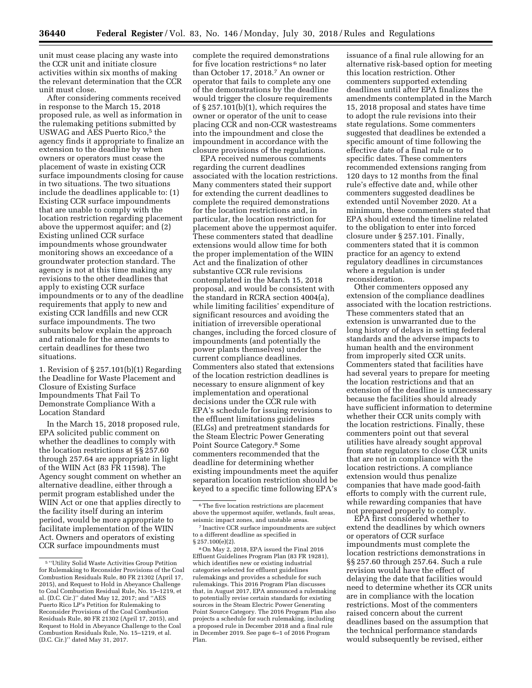unit must cease placing any waste into the CCR unit and initiate closure activities within six months of making the relevant determination that the CCR unit must close.

After considering comments received in response to the March 15, 2018 proposed rule, as well as information in the rulemaking petitions submitted by USWAG and AES Puerto Rico,<sup>5</sup> the agency finds it appropriate to finalize an extension to the deadline by when owners or operators must cease the placement of waste in existing CCR surface impoundments closing for cause in two situations. The two situations include the deadlines applicable to: (1) Existing CCR surface impoundments that are unable to comply with the location restriction regarding placement above the uppermost aquifer; and (2) Existing unlined CCR surface impoundments whose groundwater monitoring shows an exceedance of a groundwater protection standard. The agency is not at this time making any revisions to the other deadlines that apply to existing CCR surface impoundments or to any of the deadline requirements that apply to new and existing CCR landfills and new CCR surface impoundments. The two subunits below explain the approach and rationale for the amendments to certain deadlines for these two situations.

1. Revision of § 257.101(b)(1) Regarding the Deadline for Waste Placement and Closure of Existing Surface Impoundments That Fail To Demonstrate Compliance With a Location Standard

In the March 15, 2018 proposed rule, EPA solicited public comment on whether the deadlines to comply with the location restrictions at §§ 257.60 through 257.64 are appropriate in light of the WIIN Act (83 FR 11598). The Agency sought comment on whether an alternative deadline, either through a permit program established under the WIIN Act or one that applies directly to the facility itself during an interim period, would be more appropriate to facilitate implementation of the WIIN Act. Owners and operators of existing CCR surface impoundments must

complete the required demonstrations for five location restrictions 6 no later than October 17, 2018.7 An owner or operator that fails to complete any one of the demonstrations by the deadline would trigger the closure requirements of § 257.101(b)(1), which requires the owner or operator of the unit to cease placing CCR and non-CCR wastestreams into the impoundment and close the impoundment in accordance with the closure provisions of the regulations.

EPA received numerous comments regarding the current deadlines associated with the location restrictions. Many commenters stated their support for extending the current deadlines to complete the required demonstrations for the location restrictions and, in particular, the location restriction for placement above the uppermost aquifer. These commenters stated that deadline extensions would allow time for both the proper implementation of the WIIN Act and the finalization of other substantive CCR rule revisions contemplated in the March 15, 2018 proposal, and would be consistent with the standard in RCRA section 4004(a), while limiting facilities' expenditure of significant resources and avoiding the initiation of irreversible operational changes, including the forced closure of impoundments (and potentially the power plants themselves) under the current compliance deadlines. Commenters also stated that extensions of the location restriction deadlines is necessary to ensure alignment of key implementation and operational decisions under the CCR rule with EPA's schedule for issuing revisions to the effluent limitations guidelines (ELGs) and pretreatment standards for the Steam Electric Power Generating Point Source Category.8 Some commenters recommended that the deadline for determining whether existing impoundments meet the aquifer separation location restriction should be keyed to a specific time following EPA's

8On May 2, 2018, EPA issued the Final 2016 Effluent Guidelines Program Plan (83 FR 19281), which identifies new or existing industrial categories selected for effluent guidelines rulemakings and provides a schedule for such rulemakings. This 2016 Program Plan discusses that, in August 2017, EPA announced a rulemaking to potentially revise certain standards for existing sources in the Steam Electric Power Generating Point Source Category. The 2016 Program Plan also projects a schedule for such rulemaking, including a proposed rule in December 2018 and a final rule in December 2019. See page 6–1 of 2016 Program Plan.

issuance of a final rule allowing for an alternative risk-based option for meeting this location restriction. Other commenters supported extending deadlines until after EPA finalizes the amendments contemplated in the March 15, 2018 proposal and states have time to adopt the rule revisions into their state regulations. Some commenters suggested that deadlines be extended a specific amount of time following the effective date of a final rule or to specific dates. These commenters recommended extensions ranging from 120 days to 12 months from the final rule's effective date and, while other commenters suggested deadlines be extended until November 2020. At a minimum, these commenters stated that EPA should extend the timeline related to the obligation to enter into forced closure under § 257.101. Finally, commenters stated that it is common practice for an agency to extend regulatory deadlines in circumstances where a regulation is under reconsideration.

Other commenters opposed any extension of the compliance deadlines associated with the location restrictions. These commenters stated that an extension is unwarranted due to the long history of delays in setting federal standards and the adverse impacts to human health and the environment from improperly sited CCR units. Commenters stated that facilities have had several years to prepare for meeting the location restrictions and that an extension of the deadline is unnecessary because the facilities should already have sufficient information to determine whether their CCR units comply with the location restrictions. Finally, these commenters point out that several utilities have already sought approval from state regulators to close CCR units that are not in compliance with the location restrictions. A compliance extension would thus penalize companies that have made good-faith efforts to comply with the current rule, while rewarding companies that have not prepared properly to comply.

EPA first considered whether to extend the deadlines by which owners or operators of CCR surface impoundments must complete the location restrictions demonstrations in §§ 257.60 through 257.64. Such a rule revision would have the effect of delaying the date that facilities would need to determine whether its CCR units are in compliance with the location restrictions. Most of the commenters raised concern about the current deadlines based on the assumption that the technical performance standards would subsequently be revised, either

<sup>5</sup> ''Utility Solid Waste Activities Group Petition for Rulemaking to Reconsider Provisions of the Coal Combustion Residuals Rule, 80 FR 21302 (April 17, 2015), and Request to Hold in Abeyance Challenge to Coal Combustion Residual Rule, No. 15–1219, et al. (D.C. Cir.)'' dated May 12, 2017; and ''AES Puerto Rico LP's Petition for Rulemaking to Reconsider Provisions of the Coal Combustion Residuals Rule, 80 FR 21302 (April 17, 2015), and Request to Hold in Abeyance Challenge to the Coal Combustion Residuals Rule, No. 15–1219, et al. (D.C. Cir.)'' dated May 31, 2017.

<sup>&</sup>lt;sup>6</sup>The five location restrictions are placement above the uppermost aquifer, wetlands, fault areas, seismic impact zones, and unstable areas.

<sup>7</sup> Inactive CCR surface impoundments are subject to a different deadline as specified in § 257.100(e)(2).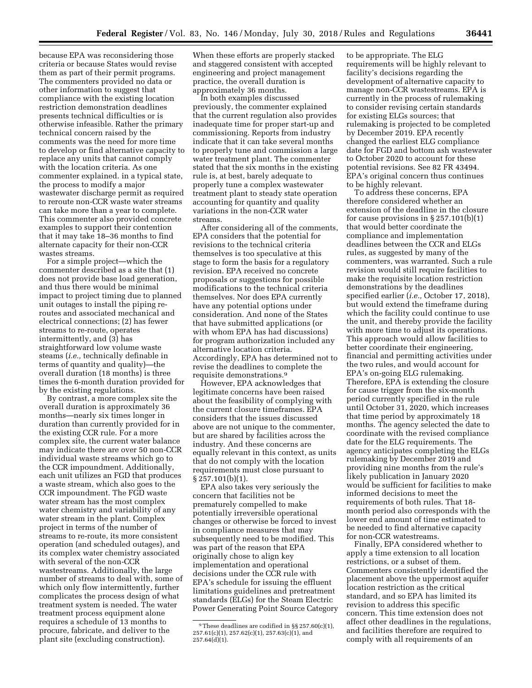because EPA was reconsidering those criteria or because States would revise them as part of their permit programs. The commenters provided no data or other information to suggest that compliance with the existing location restriction demonstration deadlines presents technical difficulties or is otherwise infeasible. Rather the primary technical concern raised by the comments was the need for more time to develop or find alternative capacity to replace any units that cannot comply with the location criteria. As one commenter explained. in a typical state, the process to modify a major wastewater discharge permit as required to reroute non-CCR waste water streams can take more than a year to complete. This commenter also provided concrete examples to support their contention that it may take 18–36 months to find alternate capacity for their non-CCR wastes streams.

For a simple project—which the commenter described as a site that (1) does not provide base load generation, and thus there would be minimal impact to project timing due to planned unit outages to install the piping reroutes and associated mechanical and electrical connections; (2) has fewer streams to re-route, operates intermittently, and (3) has straightforward low volume waste steams (*i.e.,* technically definable in terms of quantity and quality)—the overall duration (18 months) is three times the 6-month duration provided for by the existing regulations.

By contrast, a more complex site the overall duration is approximately 36 months—nearly six times longer in duration than currently provided for in the existing CCR rule. For a more complex site, the current water balance may indicate there are over 50 non-CCR individual waste streams which go to the CCR impoundment. Additionally, each unit utilizes an FGD that produces a waste stream, which also goes to the CCR impoundment. The FGD waste water stream has the most complex water chemistry and variability of any water stream in the plant. Complex project in terms of the number of streams to re-route, its more consistent operation (and scheduled outages), and its complex water chemistry associated with several of the non-CCR wastestreams. Additionally, the large number of streams to deal with, some of which only flow intermittently, further complicates the process design of what treatment system is needed. The water treatment process equipment alone requires a schedule of 13 months to procure, fabricate, and deliver to the plant site (excluding construction).

When these efforts are properly stacked and staggered consistent with accepted engineering and project management practice, the overall duration is approximately 36 months.

In both examples discussed previously, the commenter explained that the current regulation also provides inadequate time for proper start-up and commissioning. Reports from industry indicate that it can take several months to properly tune and commission a large water treatment plant. The commenter stated that the six months in the existing rule is, at best, barely adequate to properly tune a complex wastewater treatment plant to steady state operation accounting for quantity and quality variations in the non-CCR water streams.

After considering all of the comments, EPA considers that the potential for revisions to the technical criteria themselves is too speculative at this stage to form the basis for a regulatory revision. EPA received no concrete proposals or suggestions for possible modifications to the technical criteria themselves. Nor does EPA currently have any potential options under consideration. And none of the States that have submitted applications (or with whom EPA has had discussions) for program authorization included any alternative location criteria. Accordingly, EPA has determined not to revise the deadlines to complete the requisite demonstrations.9

However, EPA acknowledges that legitimate concerns have been raised about the feasibility of complying with the current closure timeframes. EPA considers that the issues discussed above are not unique to the commenter, but are shared by facilities across the industry. And these concerns are equally relevant in this context, as units that do not comply with the location requirements must close pursuant to § 257.101(b)(1).

EPA also takes very seriously the concern that facilities not be prematurely compelled to make potentially irreversible operational changes or otherwise be forced to invest in compliance measures that may subsequently need to be modified. This was part of the reason that EPA originally chose to align key implementation and operational decisions under the CCR rule with EPA's schedule for issuing the effluent limitations guidelines and pretreatment standards (ELGs) for the Steam Electric Power Generating Point Source Category

to be appropriate. The ELG requirements will be highly relevant to facility's decisions regarding the development of alternative capacity to manage non-CCR wastestreams. EPA is currently in the process of rulemaking to consider revising certain standards for existing ELGs sources; that rulemaking is projected to be completed by December 2019. EPA recently changed the earliest ELG compliance date for FGD and bottom ash wastewater to October 2020 to account for these potential revisions. See 82 FR 43494. EPA's original concern thus continues to be highly relevant.

To address these concerns, EPA therefore considered whether an extension of the deadline in the closure for cause provisions in  $\S 257.101(b)(1)$ that would better coordinate the compliance and implementation deadlines between the CCR and ELGs rules, as suggested by many of the commenters, was warranted. Such a rule revision would still require facilities to make the requisite location restriction demonstrations by the deadlines specified earlier (*i.e.,* October 17, 2018), but would extend the timeframe during which the facility could continue to use the unit, and thereby provide the facility with more time to adjust its operations. This approach would allow facilities to better coordinate their engineering, financial and permitting activities under the two rules, and would account for EPA's on-going ELG rulemaking. Therefore, EPA is extending the closure for cause trigger from the six-month period currently specified in the rule until October 31, 2020, which increases that time period by approximately 18 months. The agency selected the date to coordinate with the revised compliance date for the ELG requirements. The agency anticipates completing the ELGs rulemaking by December 2019 and providing nine months from the rule's likely publication in January 2020 would be sufficient for facilities to make informed decisions to meet the requirements of both rules. That 18 month period also corresponds with the lower end amount of time estimated to be needed to find alternative capacity for non-CCR watestreams.

Finally, EPA considered whether to apply a time extension to all location restrictions, or a subset of them. Commenters consistently identified the placement above the uppermost aquifer location restriction as the critical standard, and so EPA has limited its revision to address this specific concern. This time extension does not affect other deadlines in the regulations, and facilities therefore are required to comply with all requirements of an

<sup>9</sup>These deadlines are codified in §§ 257.60(c)(1), 257.61(c)(1), 257.62(c)(1), 257.63(c)(1), and 257.64(d)(1).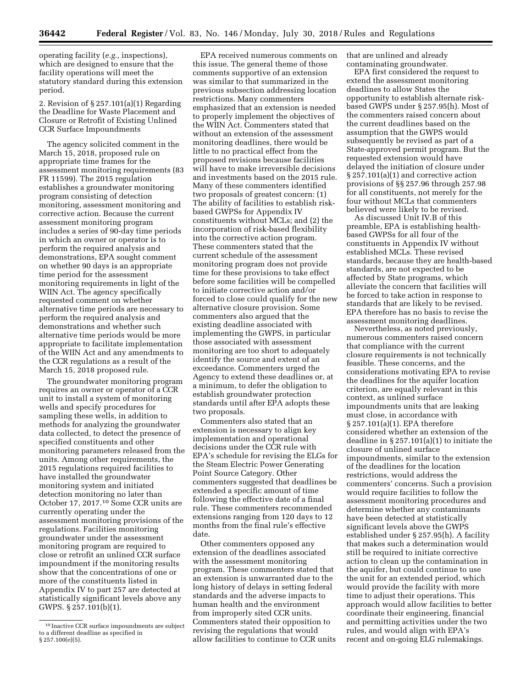operating facility (*e.g.,* inspections), which are designed to ensure that the facility operations will meet the statutory standard during this extension period.

2. Revision of § 257.101(a)(1) Regarding the Deadline for Waste Placement and Closure or Retrofit of Existing Unlined CCR Surface Impoundments

The agency solicited comment in the March 15, 2018, proposed rule on appropriate time frames for the assessment monitoring requirements (83 FR 11599). The 2015 regulation establishes a groundwater monitoring program consisting of detection monitoring, assessment monitoring and corrective action. Because the current assessment monitoring program includes a series of 90-day time periods in which an owner or operator is to perform the required analysis and demonstrations, EPA sought comment on whether 90 days is an appropriate time period for the assessment monitoring requirements in light of the WIIN Act. The agency specifically requested comment on whether alternative time periods are necessary to perform the required analysis and demonstrations and whether such alternative time periods would be more appropriate to facilitate implementation of the WIIN Act and any amendments to the CCR regulations as a result of the March 15, 2018 proposed rule.

The groundwater monitoring program requires an owner or operator of a CCR unit to install a system of monitoring wells and specify procedures for sampling these wells, in addition to methods for analyzing the groundwater data collected, to detect the presence of specified constituents and other monitoring parameters released from the units. Among other requirements, the 2015 regulations required facilities to have installed the groundwater monitoring system and initiated detection monitoring no later than October 17, 2017.10 Some CCR units are currently operating under the assessment monitoring provisions of the regulations. Facilities monitoring groundwater under the assessment monitoring program are required to close or retrofit an unlined CCR surface impoundment if the monitoring results show that the concentrations of one or more of the constituents listed in Appendix IV to part 257 are detected at statistically significant levels above any GWPS. § 257.101(b)(1).

EPA received numerous comments on this issue. The general theme of those comments supportive of an extension was similar to that summarized in the previous subsection addressing location restrictions. Many commenters emphasized that an extension is needed to properly implement the objectives of the WIIN Act. Commenters stated that without an extension of the assessment monitoring deadlines, there would be little to no practical effect from the proposed revisions because facilities will have to make irreversible decisions and investments based on the 2015 rule. Many of these commenters identified two proposals of greatest concern: (1) The ability of facilities to establish riskbased GWPSs for Appendix IV constituents without MCLs; and (2) the incorporation of risk-based flexibility into the corrective action program. These commenters stated that the current schedule of the assessment monitoring program does not provide time for these provisions to take effect before some facilities will be compelled to initiate corrective action and/or forced to close could qualify for the new alternative closure provision. Some commenters also argued that the existing deadline associated with implementing the GWPS, in particular those associated with assessment monitoring are too short to adequately identify the source and extent of an exceedance. Commenters urged the Agency to extend these deadlines or, at a minimum, to defer the obligation to establish groundwater protection standards until after EPA adopts these two proposals.

Commenters also stated that an extension is necessary to align key implementation and operational decisions under the CCR rule with EPA's schedule for revising the ELGs for the Steam Electric Power Generating Point Source Category. Other commenters suggested that deadlines be extended a specific amount of time following the effective date of a final rule. These commenters recommended extensions ranging from 120 days to 12 months from the final rule's effective date.

Other commenters opposed any extension of the deadlines associated with the assessment monitoring program. These commenters stated that an extension is unwarranted due to the long history of delays in setting federal standards and the adverse impacts to human health and the environment from improperly sited CCR units. Commenters stated their opposition to revising the regulations that would allow facilities to continue to CCR units that are unlined and already contaminating groundwater.

EPA first considered the request to extend the assessment monitoring deadlines to allow States the opportunity to establish alternate riskbased GWPS under § 257.95(h). Most of the commenters raised concern about the current deadlines based on the assumption that the GWPS would subsequently be revised as part of a State-approved permit program. But the requested extension would have delayed the initiation of closure under § 257.101(a)(1) and corrective action provisions of §§ 257.96 through 257.98 for all constituents, not merely for the four without MCLs that commenters believed were likely to be revised.

As discussed Unit IV.B of this preamble, EPA is establishing healthbased GWPSs for all four of the constituents in Appendix IV without established MCLs. These revised standards, because they are health-based standards, are not expected to be affected by State programs, which alleviate the concern that facilities will be forced to take action in response to standards that are likely to be revised. EPA therefore has no basis to revise the assessment monitoring deadlines.

Nevertheless, as noted previously, numerous commenters raised concern that compliance with the current closure requirements is not technically feasible. These concerns, and the considerations motivating EPA to revise the deadlines for the aquifer location criterion, are equally relevant in this context, as unlined surface impoundments units that are leaking must close, in accordance with § 257.101(a)(1). EPA therefore considered whether an extension of the deadline in § 257.101(a)(1) to initiate the closure of unlined surface impoundments, similar to the extension of the deadlines for the location restrictions, would address the commenters' concerns. Such a provision would require facilities to follow the assessment monitoring procedures and determine whether any contaminants have been detected at statistically significant levels above the GWPS established under § 257.95(h). A facility that makes such a determination would still be required to initiate corrective action to clean up the contamination in the aquifer, but could continue to use the unit for an extended period, which would provide the facility with more time to adjust their operations. This approach would allow facilities to better coordinate their engineering, financial and permitting activities under the two rules, and would align with EPA's recent and on-going ELG rulemakings.

<sup>10</sup> Inactive CCR surface impoundments are subject to a different deadline as specified in § 257.100(e)(5).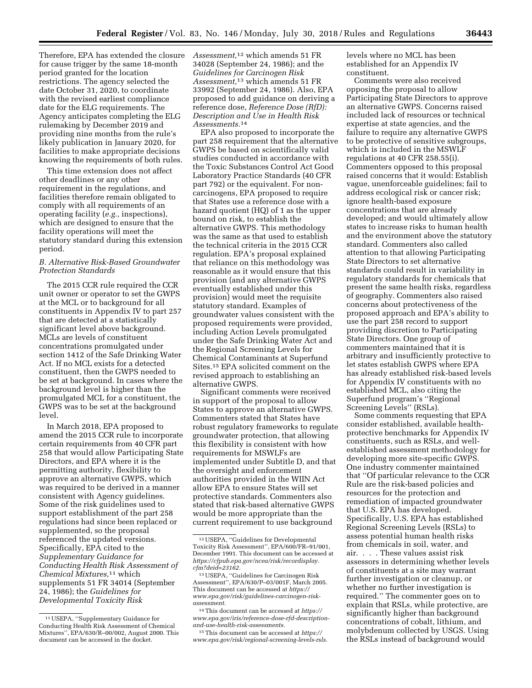Therefore, EPA has extended the closure for cause trigger by the same 18-month period granted for the location restrictions. The agency selected the date October 31, 2020, to coordinate with the revised earliest compliance date for the ELG requirements. The Agency anticipates completing the ELG rulemaking by December 2019 and providing nine months from the rule's likely publication in January 2020, for facilities to make appropriate decisions knowing the requirements of both rules.

This time extension does not affect other deadlines or any other requirement in the regulations, and facilities therefore remain obligated to comply with all requirements of an operating facility (*e.g.,* inspections), which are designed to ensure that the facility operations will meet the statutory standard during this extension period.

# *B. Alternative Risk-Based Groundwater Protection Standards*

The 2015 CCR rule required the CCR unit owner or operator to set the GWPS at the MCL or to background for all constituents in Appendix IV to part 257 that are detected at a statistically significant level above background. MCLs are levels of constituent concentrations promulgated under section 1412 of the Safe Drinking Water Act. If no MCL exists for a detected constituent, then the GWPS needed to be set at background. In cases where the background level is higher than the promulgated MCL for a constituent, the GWPS was to be set at the background level.

In March 2018, EPA proposed to amend the 2015 CCR rule to incorporate certain requirements from 40 CFR part 258 that would allow Participating State Directors, and EPA where it is the permitting authority, flexibility to approve an alternative GWPS, which was required to be derived in a manner consistent with Agency guidelines. Some of the risk guidelines used to support establishment of the part 258 regulations had since been replaced or supplemented, so the proposal referenced the updated versions. Specifically, EPA cited to the *Supplementary Guidance for Conducting Health Risk Assessment of Chemical Mixtures,*11 which supplements 51 FR 34014 (September 24, 1986); the *Guidelines for Developmental Toxicity Risk* 

*Assessment,*12 which amends 51 FR 34028 (September 24, 1986); and the *Guidelines for Carcinogen Risk Assessment,*13 which amends 51 FR 33992 (September 24, 1986). Also, EPA proposed to add guidance on deriving a reference dose, *Reference Dose (RfD): Description and Use in Health Risk Assessments.*14

EPA also proposed to incorporate the part 258 requirement that the alternative GWPS be based on scientifically valid studies conducted in accordance with the Toxic Substances Control Act Good Laboratory Practice Standards (40 CFR part 792) or the equivalent. For noncarcinogens, EPA proposed to require that States use a reference dose with a hazard quotient (HQ) of 1 as the upper bound on risk, to establish the alternative GWPS. This methodology was the same as that used to establish the technical criteria in the 2015 CCR regulation. EPA's proposal explained that reliance on this methodology was reasonable as it would ensure that this provision (and any alternative GWPS eventually established under this provision) would meet the requisite statutory standard. Examples of groundwater values consistent with the proposed requirements were provided, including Action Levels promulgated under the Safe Drinking Water Act and the Regional Screening Levels for Chemical Contaminants at Superfund Sites.15 EPA solicited comment on the revised approach to establishing an alternative GWPS.

Significant comments were received in support of the proposal to allow States to approve an alternative GWPS. Commenters stated that States have robust regulatory frameworks to regulate groundwater protection, that allowing this flexibility is consistent with how requirements for MSWLFs are implemented under Subtitle D, and that the oversight and enforcement authorities provided in the WIIN Act allow EPA to ensure States will set protective standards. Commenters also stated that risk-based alternative GWPS would be more appropriate than the current requirement to use background

levels where no MCL has been established for an Appendix IV constituent.

Comments were also received opposing the proposal to allow Participating State Directors to approve an alternative GWPS. Concerns raised included lack of resources or technical expertise at state agencies, and the failure to require any alternative GWPS to be protective of sensitive subgroups, which is included in the MSWLF regulations at 40 CFR 258.55(i). Commenters opposed to this proposal raised concerns that it would: Establish vague, unenforceable guidelines; fail to address ecological risk or cancer risk; ignore health-based exposure concentrations that are already developed; and would ultimately allow states to increase risks to human health and the environment above the statutory standard. Commenters also called attention to that allowing Participating State Directors to set alternative standards could result in variability in regulatory standards for chemicals that present the same health risks, regardless of geography. Commenters also raised concerns about protectiveness of the proposed approach and EPA's ability to use the part 258 record to support providing discretion to Participating State Directors. One group of commenters maintained that it is arbitrary and insufficiently protective to let states establish GWPS where EPA has already established risk-based levels for Appendix IV constituents with no established MCL, also citing the Superfund program's ''Regional Screening Levels'' (RSLs).

Some comments requesting that EPA consider established, available healthprotective benchmarks for Appendix IV constituents, such as RSLs, and wellestablished assessment methodology for developing more site-specific GWPS. One industry commenter maintained that ''Of particular relevance to the CCR Rule are the risk-based policies and resources for the protection and remediation of impacted groundwater that U.S. EPA has developed. Specifically, U.S. EPA has established Regional Screening Levels (RSLs) to assess potential human health risks from chemicals in soil, water, and air. . . . These values assist risk assessors in determining whether levels of constituents at a site may warrant further investigation or cleanup, or whether no further investigation is required.'' The commenter goes on to explain that RSLs, while protective, are significantly higher than background concentrations of cobalt, lithium, and molybdenum collected by USGS. Using the RSLs instead of background would

<sup>11</sup>USEPA, ''Supplementary Guidance for Conducting Health Risk Assessment of Chemical Mixtures'', EPA/630/R–00/002, August 2000. This document can be accessed in the docket.

<sup>12</sup>USEPA, ''Guidelines for Developmental Toxicity Risk Assessment'', EPA/600/FR–91/001, December 1991. This document can be accessed at *[https://cfpub.epa.gov/ncea/risk/recordisplay.](https://cfpub.epa.gov/ncea/risk/recordisplay.cfm?deid=23162) [cfm?deid=23162.](https://cfpub.epa.gov/ncea/risk/recordisplay.cfm?deid=23162)* 

<sup>13</sup>USEPA, ''Guidelines for Carcinogen Risk Assessment'', EPA/630/P–03/001F, March 2005. This document can be accessed at *<https://> www.epa.gov/risk/guidelines-carcinogen-riskassessment.* 

<sup>14</sup>This document can be accessed at *[https://](https://www.epa.gov/iris/reference-dose-rfd-description-and-use-health-risk-assessments) [www.epa.gov/iris/reference-dose-rfd-description](https://www.epa.gov/iris/reference-dose-rfd-description-and-use-health-risk-assessments)[and-use-health-risk-assessments.](https://www.epa.gov/iris/reference-dose-rfd-description-and-use-health-risk-assessments)* 

<sup>15</sup>This document can be accessed at *[https://](https://www.epa.gov/risk/regional-screening-levels-rsls) [www.epa.gov/risk/regional-screening-levels-rsls.](https://www.epa.gov/risk/regional-screening-levels-rsls)*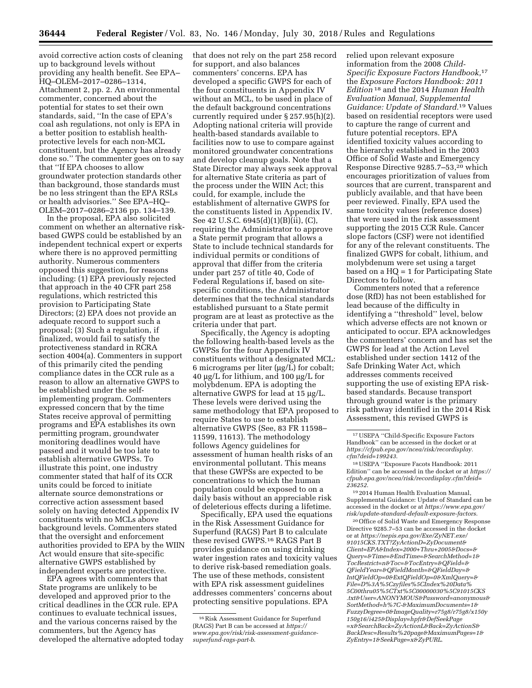avoid corrective action costs of cleaning up to background levels without providing any health benefit. See EPA– HQ–OLEM–2017–0286–1314, Attachment 2, pp. 2. An environmental commenter, concerned about the potential for states to set their own standards, said, ''In the case of EPA's coal ash regulations, not only is EPA in a better position to establish healthprotective levels for each non-MCL constituent, but the Agency has already done so.'' The commenter goes on to say that ''If EPA chooses to allow groundwater protection standards other than background, those standards must be no less stringent than the EPA RSLs or health advisories.'' See EPA–HQ– OLEM–2017–0286–2136 pp. 134–139.

In the proposal, EPA also solicited comment on whether an alternative riskbased GWPS could be established by an independent technical expert or experts where there is no approved permitting authority. Numerous commenters opposed this suggestion, for reasons including: (1) EPA previously rejected that approach in the 40 CFR part 258 regulations, which restricted this provision to Participating State Directors; (2) EPA does not provide an adequate record to support such a proposal; (3) Such a regulation, if finalized, would fail to satisfy the protectiveness standard in RCRA section 4004(a). Commenters in support of this primarily cited the pending compliance dates in the CCR rule as a reason to allow an alternative GWPS to be established under the selfimplementing program. Commenters expressed concern that by the time States receive approval of permitting programs and EPA establishes its own permitting program, groundwater monitoring deadlines would have passed and it would be too late to establish alternative GWPSs. To illustrate this point, one industry commenter stated that half of its CCR units could be forced to initiate alternate source demonstrations or corrective action assessment based solely on having detected Appendix IV constituents with no MCLs above background levels. Commenters stated that the oversight and enforcement authorities provided to EPA by the WIIN Act would ensure that site-specific alternative GWPS established by independent experts are protective.

EPA agrees with commenters that State programs are unlikely to be developed and approved prior to the critical deadlines in the CCR rule. EPA continues to evaluate technical issues, and the various concerns raised by the commenters, but the Agency has developed the alternative adopted today that does not rely on the part 258 record for support, and also balances commenters' concerns. EPA has developed a specific GWPS for each of the four constituents in Appendix IV without an MCL, to be used in place of the default background concentrations currently required under § 257.95(h)(2). Adopting national criteria will provide health-based standards available to facilities now to use to compare against monitored groundwater concentrations and develop cleanup goals. Note that a State Director may always seek approval for alternative State criteria as part of the process under the WIIN Act; this could, for example, include the establishment of alternative GWPS for the constituents listed in Appendix IV. See 42 U.S.C. 6945(d)(1)(B)(ii), (C), requiring the Administrator to approve a State permit program that allows a State to include technical standards for individual permits or conditions of approval that differ from the criteria under part 257 of title 40, Code of Federal Regulations if, based on sitespecific conditions, the Administrator determines that the technical standards established pursuant to a State permit program are at least as protective as the criteria under that part.

Specifically, the Agency is adopting the following health-based levels as the GWPSs for the four Appendix IV constituents without a designated MCL:  $6$  micrograms per liter ( $\mu$ g/L) for cobalt; 40  $\mu$ g/L for lithium, and 100  $\mu$ g/L for molybdenum. EPA is adopting the alternative GWPS for lead at  $15 \mu g/L$ . These levels were derived using the same methodology that EPA proposed to require States to use to establish alternative GWPS (See, 83 FR 11598– 11599, 11613). The methodology follows Agency guidelines for assessment of human health risks of an environmental pollutant. This means that these GWPSs are expected to be concentrations to which the human population could be exposed to on a daily basis without an appreciable risk of deleterious effects during a lifetime.

Specifically, EPA used the equations in the Risk Assessment Guidance for Superfund (RAGS) Part B to calculate these revised GWPS.16 RAGS Part B provides guidance on using drinking water ingestion rates and toxicity values to derive risk-based remediation goals. The use of these methods, consistent with EPA risk assessment guidelines addresses commenters' concerns about protecting sensitive populations. EPA

relied upon relevant exposure information from the 2008 *Child-Specific Exposure Factors Handbook,*17 the *Exposure Factors Handbook: 2011 Edition* 18 and the 2014 *Human Health Evaluation Manual, Supplemental Guidance: Update of Standard.*19 Values based on residential receptors were used to capture the range of current and future potential receptors. EPA identified toxicity values according to the hierarchy established in the 2003 Office of Solid Waste and Emergency Response Directive 9285.7–53,20 which encourages prioritization of values from sources that are current, transparent and publicly available, and that have been peer reviewed. Finally, EPA used the same toxicity values (reference doses) that were used in the risk assessment supporting the 2015 CCR Rule. Cancer slope factors (CSF) were not identified for any of the relevant constituents. The finalized GWPS for cobalt, lithium, and molybdenum were set using a target based on a HQ = 1 for Participating State Directors to follow.

Commenters noted that a reference dose (RfD) has not been established for lead because of the difficulty in identifying a ''threshold'' level, below which adverse effects are not known or anticipated to occur. EPA acknowledges the commenters' concern and has set the GWPS for lead at the Action Level established under section 1412 of the Safe Drinking Water Act, which addresses comments received supporting the use of existing EPA riskbased standards. Because transport through ground water is the primary risk pathway identified in the 2014 Risk Assessment, this revised GWPS is

19 2014 Human Health Evaluation Manual, Supplemental Guidance: Update of Standard can be accessed in the docket or at *[https://www.epa.gov/](https://www.epa.gov/risk/update-standard-default-exposure-factors) [risk/update-standard-default-exposure-factors](https://www.epa.gov/risk/update-standard-default-exposure-factors)*.

20Office of Solid Waste and Emergency Response Directive 9285.7–53 can be accessed in the docket or at *[https://nepis.epa.gov/Exe/ZyNET.exe/](https://nepis.epa.gov/Exe/ZyNET.exe/91015CKS.TXT?ZyActionD=ZyDocument&Client=EPA&Index=2000+Thru+2005&Docs=&Query=&Time=&EndTime=&SearchMethod=1&TocRestrict=n&Toc=&TocEntry=&QField=&QFieldYear=&QFieldMonth=&QFieldDay=&IntQFieldOp=0&ExtQFieldOp=0&XmlQuery=&Fil)  [91015CKS.TXT?ZyActionD=ZyDocument&](https://nepis.epa.gov/Exe/ZyNET.exe/91015CKS.TXT?ZyActionD=ZyDocument&Client=EPA&Index=2000+Thru+2005&Docs=&Query=&Time=&EndTime=&SearchMethod=1&TocRestrict=n&Toc=&TocEntry=&QField=&QFieldYear=&QFieldMonth=&QFieldDay=&IntQFieldOp=0&ExtQFieldOp=0&XmlQuery=&Fil) [Client=EPA&Index=2000+Thru+2005&Docs=&](https://nepis.epa.gov/Exe/ZyNET.exe/91015CKS.TXT?ZyActionD=ZyDocument&Client=EPA&Index=2000+Thru+2005&Docs=&Query=&Time=&EndTime=&SearchMethod=1&TocRestrict=n&Toc=&TocEntry=&QField=&QFieldYear=&QFieldMonth=&QFieldDay=&IntQFieldOp=0&ExtQFieldOp=0&XmlQuery=&Fil) [Query=&Time=&EndTime=&SearchMethod=1&](https://nepis.epa.gov/Exe/ZyNET.exe/91015CKS.TXT?ZyActionD=ZyDocument&Client=EPA&Index=2000+Thru+2005&Docs=&Query=&Time=&EndTime=&SearchMethod=1&TocRestrict=n&Toc=&TocEntry=&QField=&QFieldYear=&QFieldMonth=&QFieldDay=&IntQFieldOp=0&ExtQFieldOp=0&XmlQuery=&Fil) [TocRestrict=n&Toc=&TocEntry=&QField=&](https://nepis.epa.gov/Exe/ZyNET.exe/91015CKS.TXT?ZyActionD=ZyDocument&Client=EPA&Index=2000+Thru+2005&Docs=&Query=&Time=&EndTime=&SearchMethod=1&TocRestrict=n&Toc=&TocEntry=&QField=&QFieldYear=&QFieldMonth=&QFieldDay=&IntQFieldOp=0&ExtQFieldOp=0&XmlQuery=&Fil) [QFieldYear=&QFieldMonth=&QFieldDay=&](https://nepis.epa.gov/Exe/ZyNET.exe/91015CKS.TXT?ZyActionD=ZyDocument&Client=EPA&Index=2000+Thru+2005&Docs=&Query=&Time=&EndTime=&SearchMethod=1&TocRestrict=n&Toc=&TocEntry=&QField=&QFieldYear=&QFieldMonth=&QFieldDay=&IntQFieldOp=0&ExtQFieldOp=0&XmlQuery=&Fil) [IntQFieldOp=0&ExtQFieldOp=0&XmlQuery=&](https://nepis.epa.gov/Exe/ZyNET.exe/91015CKS.TXT?ZyActionD=ZyDocument&Client=EPA&Index=2000+Thru+2005&Docs=&Query=&Time=&EndTime=&SearchMethod=1&TocRestrict=n&Toc=&TocEntry=&QField=&QFieldYear=&QFieldMonth=&QFieldDay=&IntQFieldOp=0&ExtQFieldOp=0&XmlQuery=&Fil) [File=D%3A%5Czyfiles%5CIndex%20Data%](https://nepis.epa.gov/Exe/ZyNET.exe/91015CKS.TXT?ZyActionD=ZyDocument&Client=EPA&Index=2000+Thru+2005&Docs=&Query=&Time=&EndTime=&SearchMethod=1&TocRestrict=n&Toc=&TocEntry=&QField=&QFieldYear=&QFieldMonth=&QFieldDay=&IntQFieldOp=0&ExtQFieldOp=0&XmlQuery=&Fil) [5C00thru05%5CTxt%5C00000030%5C91015CKS](https://nepis.epa.gov/Exe/ZyNET.exe/91015CKS.TXT?ZyActionD=ZyDocument&Client=EPA&Index=2000+Thru+2005&Docs=&Query=&Time=&EndTime=&SearchMethod=1&TocRestrict=n&Toc=&TocEntry=&QField=&QFieldYear=&QFieldMonth=&QFieldDay=&IntQFieldOp=0&ExtQFieldOp=0&XmlQuery=&Fil) [.txt&User=ANONYMOUS&Password=anonymous&](https://nepis.epa.gov/Exe/ZyNET.exe/91015CKS.TXT?ZyActionD=ZyDocument&Client=EPA&Index=2000+Thru+2005&Docs=&Query=&Time=&EndTime=&SearchMethod=1&TocRestrict=n&Toc=&TocEntry=&QField=&QFieldYear=&QFieldMonth=&QFieldDay=&IntQFieldOp=0&ExtQFieldOp=0&XmlQuery=&Fil) [SortMethod=h%7C-&MaximumDocuments=1&](https://nepis.epa.gov/Exe/ZyNET.exe/91015CKS.TXT?ZyActionD=ZyDocument&Client=EPA&Index=2000+Thru+2005&Docs=&Query=&Time=&EndTime=&SearchMethod=1&TocRestrict=n&Toc=&TocEntry=&QField=&QFieldYear=&QFieldMonth=&QFieldDay=&IntQFieldOp=0&ExtQFieldOp=0&XmlQuery=&Fil) [FuzzyDegree=0&ImageQuality=r75g8/r75g8/x150y](https://nepis.epa.gov/Exe/ZyNET.exe/91015CKS.TXT?ZyActionD=ZyDocument&Client=EPA&Index=2000+Thru+2005&Docs=&Query=&Time=&EndTime=&SearchMethod=1&TocRestrict=n&Toc=&TocEntry=&QField=&QFieldYear=&QFieldMonth=&QFieldDay=&IntQFieldOp=0&ExtQFieldOp=0&XmlQuery=&Fil) [150g16/i425&Display=hpfr&DefSeekPage](https://nepis.epa.gov/Exe/ZyNET.exe/91015CKS.TXT?ZyActionD=ZyDocument&Client=EPA&Index=2000+Thru+2005&Docs=&Query=&Time=&EndTime=&SearchMethod=1&TocRestrict=n&Toc=&TocEntry=&QField=&QFieldYear=&QFieldMonth=&QFieldDay=&IntQFieldOp=0&ExtQFieldOp=0&XmlQuery=&Fil) [=x&SearchBack=ZyActionL&Back=ZyActionS&](https://nepis.epa.gov/Exe/ZyNET.exe/91015CKS.TXT?ZyActionD=ZyDocument&Client=EPA&Index=2000+Thru+2005&Docs=&Query=&Time=&EndTime=&SearchMethod=1&TocRestrict=n&Toc=&TocEntry=&QField=&QFieldYear=&QFieldMonth=&QFieldDay=&IntQFieldOp=0&ExtQFieldOp=0&XmlQuery=&Fil) [BackDesc=Results%20page&MaximumPages=1&](https://nepis.epa.gov/Exe/ZyNET.exe/91015CKS.TXT?ZyActionD=ZyDocument&Client=EPA&Index=2000+Thru+2005&Docs=&Query=&Time=&EndTime=&SearchMethod=1&TocRestrict=n&Toc=&TocEntry=&QField=&QFieldYear=&QFieldMonth=&QFieldDay=&IntQFieldOp=0&ExtQFieldOp=0&XmlQuery=&Fil) [ZyEntry=1&SeekPage=x&ZyPURL](https://nepis.epa.gov/Exe/ZyNET.exe/91015CKS.TXT?ZyActionD=ZyDocument&Client=EPA&Index=2000+Thru+2005&Docs=&Query=&Time=&EndTime=&SearchMethod=1&TocRestrict=n&Toc=&TocEntry=&QField=&QFieldYear=&QFieldMonth=&QFieldDay=&IntQFieldOp=0&ExtQFieldOp=0&XmlQuery=&Fil)*.

<sup>16</sup>Risk Assessment Guidance for Superfund (RAGS) Part B can be accessed at *[https://](https://www.epa.gov/risk/risk-assessment-guidance-superfund-rags-part-b) [www.epa.gov/risk/risk-assessment-guidance](https://www.epa.gov/risk/risk-assessment-guidance-superfund-rags-part-b)[superfund-rags-part-b](https://www.epa.gov/risk/risk-assessment-guidance-superfund-rags-part-b)*.

<sup>17</sup>USEPA ''Child-Specific Exposure Factors Handbook'' can be accessed in the docket or at *[https://cfpub.epa.gov/ncea/risk/recordisplay.](https://cfpub.epa.gov/ncea/risk/recordisplay.cfm?deid=199243) [cfm?deid=199243](https://cfpub.epa.gov/ncea/risk/recordisplay.cfm?deid=199243)*.

<sup>18</sup>USEPA ''Exposure Facots Handbook: 2011 Edition'' can be accessed in the docket or at *[https://](https://cfpub.epa.gov/ncea/risk/recordisplay.cfm?deid=236252)  [cfpub.epa.gov/ncea/risk/recordisplay.cfm?deid=](https://cfpub.epa.gov/ncea/risk/recordisplay.cfm?deid=236252) [236252](https://cfpub.epa.gov/ncea/risk/recordisplay.cfm?deid=236252)*.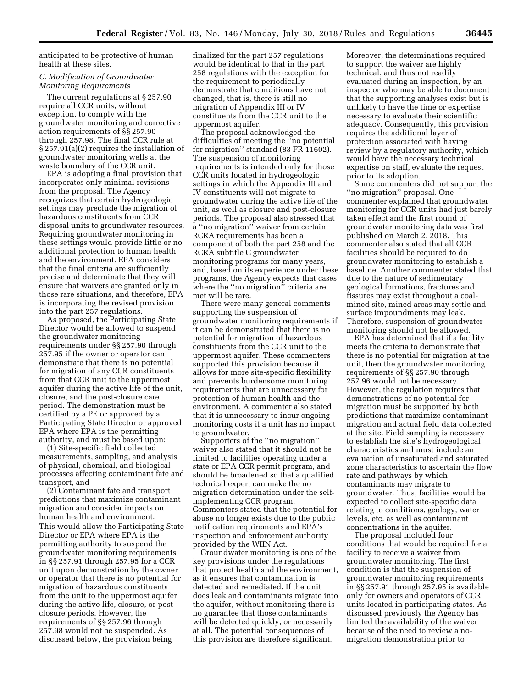anticipated to be protective of human health at these sites.

## *C. Modification of Groundwater Monitoring Requirements*

The current regulations at § 257.90 require all CCR units, without exception, to comply with the groundwater monitoring and corrective action requirements of §§ 257.90 through 257.98. The final CCR rule at § 257.91(a)(2) requires the installation of groundwater monitoring wells at the waste boundary of the CCR unit.

EPA is adopting a final provision that incorporates only minimal revisions from the proposal. The Agency recognizes that certain hydrogeologic settings may preclude the migration of hazardous constituents from CCR disposal units to groundwater resources. Requiring groundwater monitoring in these settings would provide little or no additional protection to human health and the environment. EPA considers that the final criteria are sufficiently precise and determinate that they will ensure that waivers are granted only in those rare situations, and therefore, EPA is incorporating the revised provision into the part 257 regulations.

As proposed, the Participating State Director would be allowed to suspend the groundwater monitoring requirements under §§ 257.90 through 257.95 if the owner or operator can demonstrate that there is no potential for migration of any CCR constituents from that CCR unit to the uppermost aquifer during the active life of the unit, closure, and the post-closure care period. The demonstration must be certified by a PE or approved by a Participating State Director or approved EPA where EPA is the permitting authority, and must be based upon:

(1) Site-specific field collected measurements, sampling, and analysis of physical, chemical, and biological processes affecting contaminant fate and transport, and

(2) Contaminant fate and transport predictions that maximize contaminant migration and consider impacts on human health and environment. This would allow the Participating State Director or EPA where EPA is the permitting authority to suspend the groundwater monitoring requirements in §§ 257.91 through 257.95 for a CCR unit upon demonstration by the owner or operator that there is no potential for migration of hazardous constituents from the unit to the uppermost aquifer during the active life, closure, or postclosure periods. However, the requirements of §§ 257.96 through 257.98 would not be suspended. As discussed below, the provision being

finalized for the part 257 regulations would be identical to that in the part 258 regulations with the exception for the requirement to periodically demonstrate that conditions have not changed, that is, there is still no migration of Appendix III or IV constituents from the CCR unit to the uppermost aquifer.

The proposal acknowledged the difficulties of meeting the ''no potential for migration'' standard (83 FR 11602). The suspension of monitoring requirements is intended only for those CCR units located in hydrogeologic settings in which the Appendix III and IV constituents will not migrate to groundwater during the active life of the unit, as well as closure and post-closure periods. The proposal also stressed that a ''no migration'' waiver from certain RCRA requirements has been a component of both the part 258 and the RCRA subtitle C groundwater monitoring programs for many years, and, based on its experience under these programs, the Agency expects that cases where the ''no migration'' criteria are met will be rare.

There were many general comments supporting the suspension of groundwater monitoring requirements if it can be demonstrated that there is no potential for migration of hazardous constituents from the CCR unit to the uppermost aquifer. These commenters supported this provision because it allows for more site-specific flexibility and prevents burdensome monitoring requirements that are unnecessary for protection of human health and the environment. A commenter also stated that it is unnecessary to incur ongoing monitoring costs if a unit has no impact to groundwater.

Supporters of the ''no migration'' waiver also stated that it should not be limited to facilities operating under a state or EPA CCR permit program, and should be broadened so that a qualified technical expert can make the no migration determination under the selfimplementing CCR program. Commenters stated that the potential for abuse no longer exists due to the public notification requirements and EPA's inspection and enforcement authority provided by the WIIN Act.

Groundwater monitoring is one of the key provisions under the regulations that protect health and the environment, as it ensures that contamination is detected and remediated. If the unit does leak and contaminants migrate into the aquifer, without monitoring there is no guarantee that those contaminants will be detected quickly, or necessarily at all. The potential consequences of this provision are therefore significant.

Moreover, the determinations required to support the waiver are highly technical, and thus not readily evaluated during an inspection, by an inspector who may be able to document that the supporting analyses exist but is unlikely to have the time or expertise necessary to evaluate their scientific adequacy. Consequently, this provision requires the additional layer of protection associated with having review by a regulatory authority, which would have the necessary technical expertise on staff, evaluate the request prior to its adoption.

Some commenters did not support the ''no migration'' proposal. One commenter explained that groundwater monitoring for CCR units had just barely taken effect and the first round of groundwater monitoring data was first published on March 2, 2018. This commenter also stated that all CCR facilities should be required to do groundwater monitoring to establish a baseline. Another commenter stated that due to the nature of sedimentary geological formations, fractures and fissures may exist throughout a coalmined site, mined areas may settle and surface impoundments may leak. Therefore, suspension of groundwater monitoring should not be allowed.

EPA has determined that if a facility meets the criteria to demonstrate that there is no potential for migration at the unit, then the groundwater monitoring requirements of §§ 257.90 through 257.96 would not be necessary. However, the regulation requires that demonstrations of no potential for migration must be supported by both predictions that maximize contaminant migration and actual field data collected at the site. Field sampling is necessary to establish the site's hydrogeological characteristics and must include an evaluation of unsaturated and saturated zone characteristics to ascertain the flow rate and pathways by which contaminants may migrate to groundwater. Thus, facilities would be expected to collect site-specific data relating to conditions, geology, water levels, etc. as well as contaminant concentrations in the aquifer.

The proposal included four conditions that would be required for a facility to receive a waiver from groundwater monitoring. The first condition is that the suspension of groundwater monitoring requirements in §§ 257.91 through 257.95 is available only for owners and operators of CCR units located in participating states. As discussed previously the Agency has limited the availability of the waiver because of the need to review a nomigration demonstration prior to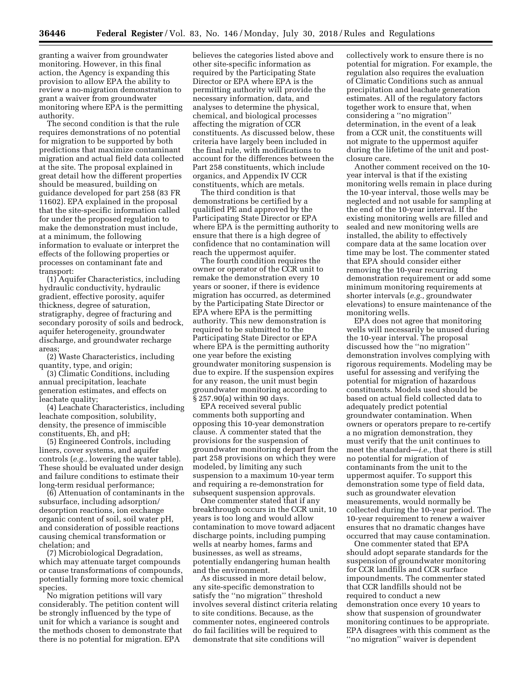granting a waiver from groundwater monitoring. However, in this final action, the Agency is expanding this provision to allow EPA the ability to review a no-migration demonstration to grant a waiver from groundwater monitoring where EPA is the permitting authority.

The second condition is that the rule requires demonstrations of no potential for migration to be supported by both predictions that maximize contaminant migration and actual field data collected at the site. The proposal explained in great detail how the different properties should be measured, building on guidance developed for part 258 (83 FR 11602). EPA explained in the proposal that the site-specific information called for under the proposed regulation to make the demonstration must include, at a minimum, the following information to evaluate or interpret the effects of the following properties or processes on contaminant fate and transport:

(1) Aquifer Characteristics, including hydraulic conductivity, hydraulic gradient, effective porosity, aquifer thickness, degree of saturation, stratigraphy, degree of fracturing and secondary porosity of soils and bedrock, aquifer heterogeneity, groundwater discharge, and groundwater recharge areas;

(2) Waste Characteristics, including quantity, type, and origin;

(3) Climatic Conditions, including annual precipitation, leachate generation estimates, and effects on leachate quality;

(4) Leachate Characteristics, including leachate composition, solubility, density, the presence of immiscible constituents, Eh, and pH;

(5) Engineered Controls, including liners, cover systems, and aquifer controls (*e.g.,* lowering the water table). These should be evaluated under design and failure conditions to estimate their long-term residual performance;

(6) Attenuation of contaminants in the subsurface, including adsorption/ desorption reactions, ion exchange organic content of soil, soil water pH, and consideration of possible reactions causing chemical transformation or chelation; and

(7) Microbiological Degradation, which may attenuate target compounds or cause transformations of compounds, potentially forming more toxic chemical species.

No migration petitions will vary considerably. The petition content will be strongly influenced by the type of unit for which a variance is sought and the methods chosen to demonstrate that there is no potential for migration. EPA

believes the categories listed above and other site-specific information as required by the Participating State Director or EPA where EPA is the permitting authority will provide the necessary information, data, and analyses to determine the physical, chemical, and biological processes affecting the migration of CCR constituents. As discussed below, these criteria have largely been included in the final rule, with modifications to account for the differences between the Part 258 constituents, which include organics, and Appendix IV CCR constituents, which are metals.

The third condition is that demonstrations be certified by a qualified PE and approved by the Participating State Director or EPA where EPA is the permitting authority to ensure that there is a high degree of confidence that no contamination will reach the uppermost aquifer.

The fourth condition requires the owner or operator of the CCR unit to remake the demonstration every 10 years or sooner, if there is evidence migration has occurred, as determined by the Participating State Director or EPA where EPA is the permitting authority. This new demonstration is required to be submitted to the Participating State Director or EPA where EPA is the permitting authority one year before the existing groundwater monitoring suspension is due to expire. If the suspension expires for any reason, the unit must begin groundwater monitoring according to § 257.90(a) within 90 days.

EPA received several public comments both supporting and opposing this 10-year demonstration clause. A commenter stated that the provisions for the suspension of groundwater monitoring depart from the part 258 provisions on which they were modeled, by limiting any such suspension to a maximum 10-year term and requiring a re-demonstration for subsequent suspension approvals.

One commenter stated that if any breakthrough occurs in the CCR unit, 10 years is too long and would allow contamination to move toward adjacent discharge points, including pumping wells at nearby homes, farms and businesses, as well as streams, potentially endangering human health and the environment.

As discussed in more detail below, any site-specific demonstration to satisfy the ''no migration'' threshold involves several distinct criteria relating to site conditions. Because, as the commenter notes, engineered controls do fail facilities will be required to demonstrate that site conditions will

collectively work to ensure there is no potential for migration. For example, the regulation also requires the evaluation of Climatic Conditions such as annual precipitation and leachate generation estimates. All of the regulatory factors together work to ensure that, when considering a ''no migration'' determination, in the event of a leak from a CCR unit, the constituents will not migrate to the uppermost aquifer during the lifetime of the unit and postclosure care.

Another comment received on the 10 year interval is that if the existing monitoring wells remain in place during the 10-year interval, those wells may be neglected and not usable for sampling at the end of the 10-year interval. If the existing monitoring wells are filled and sealed and new monitoring wells are installed, the ability to effectively compare data at the same location over time may be lost. The commenter stated that EPA should consider either removing the 10-year recurring demonstration requirement or add some minimum monitoring requirements at shorter intervals (*e.g.,* groundwater elevations) to ensure maintenance of the monitoring wells.

EPA does not agree that monitoring wells will necessarily be unused during the 10-year interval. The proposal discussed how the ''no migration'' demonstration involves complying with rigorous requirements. Modeling may be useful for assessing and verifying the potential for migration of hazardous constituents. Models used should be based on actual field collected data to adequately predict potential groundwater contamination. When owners or operators prepare to re-certify a no migration demonstration, they must verify that the unit continues to meet the standard—*i.e.,* that there is still no potential for migration of contaminants from the unit to the uppermost aquifer. To support this demonstration some type of field data, such as groundwater elevation measurements, would normally be collected during the 10-year period. The 10-year requirement to renew a waiver ensures that no dramatic changes have occurred that may cause contamination.

One commenter stated that EPA should adopt separate standards for the suspension of groundwater monitoring for CCR landfills and CCR surface impoundments. The commenter stated that CCR landfills should not be required to conduct a new demonstration once every 10 years to show that suspension of groundwater monitoring continues to be appropriate. EPA disagrees with this comment as the ''no migration'' waiver is dependent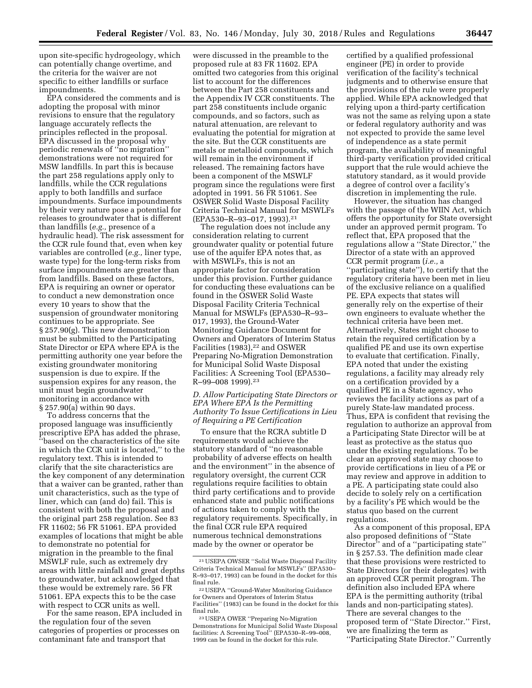upon site-specific hydrogeology, which can potentially change overtime, and the criteria for the waiver are not specific to either landfills or surface impoundments.

EPA considered the comments and is adopting the proposal with minor revisions to ensure that the regulatory language accurately reflects the principles reflected in the proposal. EPA discussed in the proposal why periodic renewals of ''no migration'' demonstrations were not required for MSW landfills. In part this is because the part 258 regulations apply only to landfills, while the CCR regulations apply to both landfills and surface impoundments. Surface impoundments by their very nature pose a potential for releases to groundwater that is different than landfills (*e.g.,* presence of a hydraulic head). The risk assessment for the CCR rule found that, even when key variables are controlled (*e.g.,* liner type, waste type) for the long-term risks from surface impoundments are greater than from landfills. Based on these factors, EPA is requiring an owner or operator to conduct a new demonstration once every 10 years to show that the suspension of groundwater monitoring continues to be appropriate. See § 257.90(g). This new demonstration must be submitted to the Participating State Director or EPA where EPA is the permitting authority one year before the existing groundwater monitoring suspension is due to expire. If the suspension expires for any reason, the unit must begin groundwater monitoring in accordance with § 257.90(a) within 90 days.

To address concerns that the proposed language was insufficiently prescriptive EPA has added the phrase, ''based on the characteristics of the site in which the CCR unit is located,'' to the regulatory text. This is intended to clarify that the site characteristics are the key component of any determination that a waiver can be granted, rather than unit characteristics, such as the type of liner, which can (and do) fail. This is consistent with both the proposal and the original part 258 regulation. See 83 FR 11602; 56 FR 51061. EPA provided examples of locations that might be able to demonstrate no potential for migration in the preamble to the final MSWLF rule, such as extremely dry areas with little rainfall and great depths to groundwater, but acknowledged that these would be extremely rare. 56 FR 51061. EPA expects this to be the case with respect to CCR units as well.

For the same reason, EPA included in the regulation four of the seven categories of properties or processes on contaminant fate and transport that

were discussed in the preamble to the proposed rule at 83 FR 11602. EPA omitted two categories from this original list to account for the differences between the Part 258 constituents and the Appendix IV CCR constituents. The part 258 constituents include organic compounds, and so factors, such as natural attenuation, are relevant to evaluating the potential for migration at the site. But the CCR constituents are metals or metalloid compounds, which will remain in the environment if released. The remaining factors have been a component of the MSWLF program since the regulations were first adopted in 1991. 56 FR 51061. See OSWER Solid Waste Disposal Facility Criteria Technical Manual for MSWLFs (EPA530–R–93–017, 1993).21

The regulation does not include any consideration relating to current groundwater quality or potential future use of the aquifer EPA notes that, as with MSWLFs, this is not an appropriate factor for consideration under this provision. Further guidance for conducting these evaluations can be found in the OSWER Solid Waste Disposal Facility Criteria Technical Manual for MSWLFs (EPA530–R–93– 017, 1993), the Ground-Water Monitoring Guidance Document for Owners and Operators of Interim Status Facilities (1983),<sup>22</sup> and OSWER Preparing No-Migration Demonstration for Municipal Solid Waste Disposal Facilities: A Screening Tool (EPA530– R–99–008 1999).23

## *D. Allow Participating State Directors or EPA Where EPA Is the Permitting Authority To Issue Certifications in Lieu of Requiring a PE Certification*

To ensure that the RCRA subtitle D requirements would achieve the statutory standard of ''no reasonable probability of adverse effects on health and the environment'' in the absence of regulatory oversight, the current CCR regulations require facilities to obtain third party certifications and to provide enhanced state and public notifications of actions taken to comply with the regulatory requirements. Specifically, in the final CCR rule EPA required numerous technical demonstrations made by the owner or operator be

certified by a qualified professional engineer (PE) in order to provide verification of the facility's technical judgments and to otherwise ensure that the provisions of the rule were properly applied. While EPA acknowledged that relying upon a third-party certification was not the same as relying upon a state or federal regulatory authority and was not expected to provide the same level of independence as a state permit program, the availability of meaningful third-party verification provided critical support that the rule would achieve the statutory standard, as it would provide a degree of control over a facility's discretion in implementing the rule.

However, the situation has changed with the passage of the WIIN Act, which offers the opportunity for State oversight under an approved permit program. To reflect that, EPA proposed that the regulations allow a ''State Director,'' the Director of a state with an approved CCR permit program (*i.e.,* a ''participating state''), to certify that the regulatory criteria have been met in lieu of the exclusive reliance on a qualified PE. EPA expects that states will generally rely on the expertise of their own engineers to evaluate whether the technical criteria have been met. Alternatively, States might choose to retain the required certification by a qualified PE and use its own expertise to evaluate that certification. Finally, EPA noted that under the existing regulations, a facility may already rely on a certification provided by a qualified PE in a State agency, who reviews the facility actions as part of a purely State-law mandated process. Thus, EPA is confident that revising the regulation to authorize an approval from a Participating State Director will be at least as protective as the status quo under the existing regulations. To be clear an approved state may choose to provide certifications in lieu of a PE or may review and approve in addition to a PE. A participating state could also decide to solely rely on a certification by a facility's PE which would be the status quo based on the current regulations.

As a component of this proposal, EPA also proposed definitions of ''State Director'' and of a ''participating state'' in § 257.53. The definition made clear that these provisions were restricted to State Directors (or their delegates) with an approved CCR permit program. The definition also included EPA where EPA is the permitting authority (tribal lands and non-participating states). There are several changes to the proposed term of ''State Director.'' First, we are finalizing the term as ''Participating State Director.'' Currently

<sup>21</sup>USEPA OWSER ''Solid Waste Disposal Facility Criteria Technical Manual for MSWLFs'' (EPA530– R–93–017, 1993) can be found in the docket for this final rule.

<sup>22</sup>USEPA ''Ground-Water Monitoring Guidance for Owners and Operators of Interim Status Facilities" (1983) can be found in the docket for this final rule.

<sup>23</sup>USEPA OWER ''Preparing No-Migration Demonstrations for Municipal Solid Waste Disposal facilities: A Screening Tool'' (EPA530–R–99–008, 1999 can be found in the docket for this rule.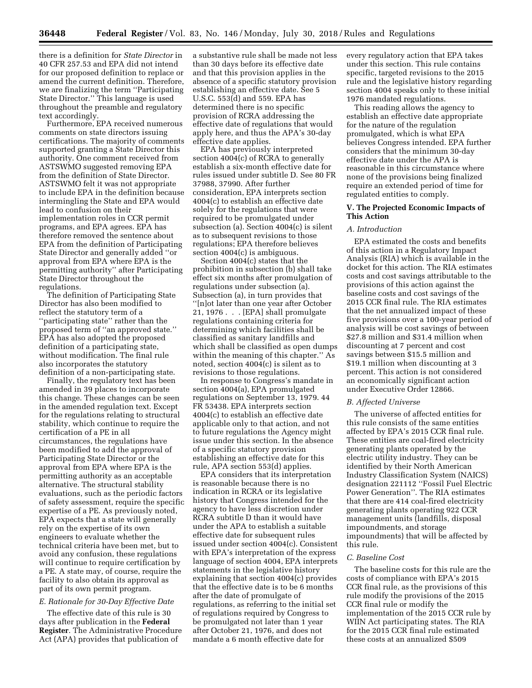there is a definition for *State Director* in 40 CFR 257.53 and EPA did not intend for our proposed definition to replace or amend the current definition. Therefore, we are finalizing the term ''Participating State Director.'' This language is used throughout the preamble and regulatory text accordingly.

Furthermore, EPA received numerous comments on state directors issuing certifications. The majority of comments supported granting a State Director this authority. One comment received from ASTSWMO suggested removing EPA from the definition of State Director. ASTSWMO felt it was not appropriate to include EPA in the definition because intermingling the State and EPA would lead to confusion on their implementation roles in CCR permit programs, and EPA agrees. EPA has therefore removed the sentence about EPA from the definition of Participating State Director and generally added ''or approval from EPA where EPA is the permitting authority'' after Participating State Director throughout the regulations.

The definition of Participating State Director has also been modified to reflect the statutory term of a ''participating state'' rather than the proposed term of ''an approved state.'' EPA has also adopted the proposed definition of a participating state, without modification. The final rule also incorporates the statutory definition of a non-participating state.

Finally, the regulatory text has been amended in 39 places to incorporate this change. These changes can be seen in the amended regulation text. Except for the regulations relating to structural stability, which continue to require the certification of a PE in all circumstances, the regulations have been modified to add the approval of Participating State Director or the approval from EPA where EPA is the permitting authority as an acceptable alternative. The structural stability evaluations, such as the periodic factors of safety assessment, require the specific expertise of a PE. As previously noted, EPA expects that a state will generally rely on the expertise of its own engineers to evaluate whether the technical criteria have been met, but to avoid any confusion, these regulations will continue to require certification by a PE. A state may, of course, require the facility to also obtain its approval as part of its own permit program.

# *E. Rationale for 30-Day Effective Date*

The effective date of this rule is 30 days after publication in the **Federal Register**. The Administrative Procedure Act (APA) provides that publication of

a substantive rule shall be made not less than 30 days before its effective date and that this provision applies in the absence of a specific statutory provision establishing an effective date. See 5 U.S.C. 553(d) and 559. EPA has determined there is no specific provision of RCRA addressing the effective date of regulations that would apply here, and thus the APA's 30-day effective date applies.

EPA has previously interpreted section 4004(c) of RCRA to generally establish a six-month effective date for rules issued under subtitle D. See 80 FR 37988, 37990. After further consideration, EPA interprets section 4004(c) to establish an effective date solely for the regulations that were required to be promulgated under subsection (a). Section 4004(c) is silent as to subsequent revisions to those regulations; EPA therefore believes section 4004(c) is ambiguous.

Section 4004(c) states that the prohibition in subsection (b) shall take effect six months after promulgation of regulations under subsection (a). Subsection (a), in turn provides that ''[n]ot later than one year after October 21, 1976 . . . [EPA] shall promulgate regulations containing criteria for determining which facilities shall be classified as sanitary landfills and which shall be classified as open dumps within the meaning of this chapter.'' As noted, section 4004(c) is silent as to revisions to those regulations.

In response to Congress's mandate in section 4004(a), EPA promulgated regulations on September 13, 1979. 44 FR 53438. EPA interprets section 4004(c) to establish an effective date applicable only to that action, and not to future regulations the Agency might issue under this section. In the absence of a specific statutory provision establishing an effective date for this rule, APA section 553(d) applies.

EPA considers that its interpretation is reasonable because there is no indication in RCRA or its legislative history that Congress intended for the agency to have less discretion under RCRA subtitle D than it would have under the APA to establish a suitable effective date for subsequent rules issued under section 4004(c). Consistent with EPA's interpretation of the express language of section 4004, EPA interprets statements in the legislative history explaining that section 4004(c) provides that the effective date is to be 6 months after the date of promulgate of regulations, as referring to the initial set of regulations required by Congress to be promulgated not later than 1 year after October 21, 1976, and does not mandate a 6 month effective date for

every regulatory action that EPA takes under this section. This rule contains specific, targeted revisions to the 2015 rule and the legislative history regarding section 4004 speaks only to these initial 1976 mandated regulations.

This reading allows the agency to establish an effective date appropriate for the nature of the regulation promulgated, which is what EPA believes Congress intended. EPA further considers that the minimum 30-day effective date under the APA is reasonable in this circumstance where none of the provisions being finalized require an extended period of time for regulated entities to comply.

### **V. The Projected Economic Impacts of This Action**

# *A. Introduction*

EPA estimated the costs and benefits of this action in a Regulatory Impact Analysis (RIA) which is available in the docket for this action. The RIA estimates costs and cost savings attributable to the provisions of this action against the baseline costs and cost savings of the 2015 CCR final rule. The RIA estimates that the net annualized impact of these five provisions over a 100-year period of analysis will be cost savings of between \$27.8 million and \$31.4 million when discounting at 7 percent and cost savings between \$15.5 million and \$19.1 million when discounting at 3 percent. This action is not considered an economically significant action under Executive Order 12866.

### *B. Affected Universe*

The universe of affected entities for this rule consists of the same entities affected by EPA's 2015 CCR final rule. These entities are coal-fired electricity generating plants operated by the electric utility industry. They can be identified by their North American Industry Classification System (NAICS) designation 221112 ''Fossil Fuel Electric Power Generation''. The RIA estimates that there are 414 coal-fired electricity generating plants operating 922 CCR management units (landfills, disposal impoundments, and storage impoundments) that will be affected by this rule.

# *C. Baseline Cost*

The baseline costs for this rule are the costs of compliance with EPA's 2015 CCR final rule, as the provisions of this rule modify the provisions of the 2015 CCR final rule or modify the implementation of the 2015 CCR rule by WIIN Act participating states. The RIA for the 2015 CCR final rule estimated these costs at an annualized \$509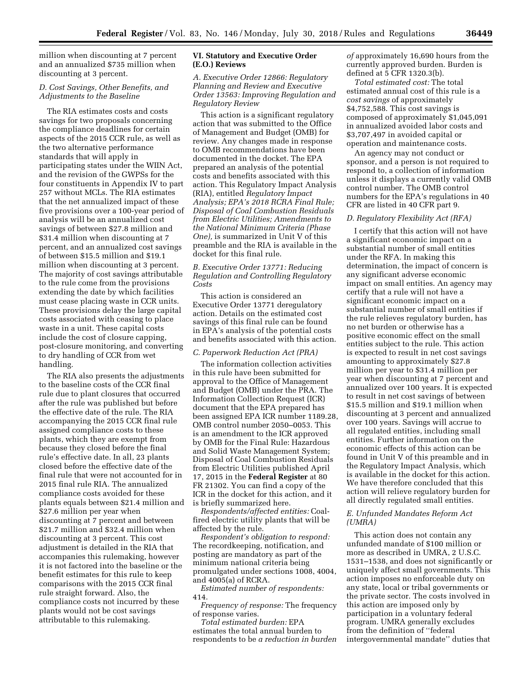million when discounting at 7 percent and an annualized \$735 million when discounting at 3 percent.

### *D. Cost Savings, Other Benefits, and Adjustments to the Baseline*

The RIA estimates costs and costs savings for two proposals concerning the compliance deadlines for certain aspects of the 2015 CCR rule, as well as the two alternative performance standards that will apply in participating states under the WIIN Act, and the revision of the GWPSs for the four constituents in Appendix IV to part 257 without MCLs. The RIA estimates that the net annualized impact of these five provisions over a 100-year period of analysis will be an annualized cost savings of between \$27.8 million and \$31.4 million when discounting at 7 percent, and an annualized cost savings of between \$15.5 million and \$19.1 million when discounting at 3 percent. The majority of cost savings attributable to the rule come from the provisions extending the date by which facilities must cease placing waste in CCR units. These provisions delay the large capital costs associated with ceasing to place waste in a unit. These capital costs include the cost of closure capping, post-closure monitoring, and converting to dry handling of CCR from wet handling.

The RIA also presents the adjustments to the baseline costs of the CCR final rule due to plant closures that occurred after the rule was published but before the effective date of the rule. The RIA accompanying the 2015 CCR final rule assigned compliance costs to these plants, which they are exempt from because they closed before the final rule's effective date. In all, 23 plants closed before the effective date of the final rule that were not accounted for in 2015 final rule RIA. The annualized compliance costs avoided for these plants equals between \$21.4 million and \$27.6 million per year when discounting at 7 percent and between \$21.7 million and \$32.4 million when discounting at 3 percent. This cost adjustment is detailed in the RIA that accompanies this rulemaking, however it is not factored into the baseline or the benefit estimates for this rule to keep comparisons with the 2015 CCR final rule straight forward. Also, the compliance costs not incurred by these plants would not be cost savings attributable to this rulemaking.

### **VI. Statutory and Executive Order (E.O.) Reviews**

## *A. Executive Order 12866: Regulatory Planning and Review and Executive Order 13563: Improving Regulation and Regulatory Review*

This action is a significant regulatory action that was submitted to the Office of Management and Budget (OMB) for review. Any changes made in response to OMB recommendations have been documented in the docket. The EPA prepared an analysis of the potential costs and benefits associated with this action. This Regulatory Impact Analysis (RIA), entitled *Regulatory Impact Analysis; EPA's 2018 RCRA Final Rule; Disposal of Coal Combustion Residuals from Electric Utilities; Amendments to the National Minimum Criteria (Phase One),* is summarized in Unit V of this preamble and the RIA is available in the docket for this final rule.

## *B. Executive Order 13771: Reducing Regulation and Controlling Regulatory Costs*

This action is considered an Executive Order 13771 deregulatory action. Details on the estimated cost savings of this final rule can be found in EPA's analysis of the potential costs and benefits associated with this action.

## *C. Paperwork Reduction Act (PRA)*

The information collection activities in this rule have been submitted for approval to the Office of Management and Budget (OMB) under the PRA. The Information Collection Request (ICR) document that the EPA prepared has been assigned EPA ICR number 1189.28, OMB control number 2050–0053. This is an amendment to the ICR approved by OMB for the Final Rule: Hazardous and Solid Waste Management System; Disposal of Coal Combustion Residuals from Electric Utilities published April 17, 2015 in the **Federal Register** at 80 FR 21302. You can find a copy of the ICR in the docket for this action, and it is briefly summarized here.

*Respondents/affected entities:* Coalfired electric utility plants that will be affected by the rule.

*Respondent's obligation to respond:*  The recordkeeping, notification, and posting are mandatory as part of the minimum national criteria being promulgated under sections 1008, 4004, and 4005(a) of RCRA.

*Estimated number of respondents:*  414.

*Frequency of response:* The frequency of response varies.

*Total estimated burden:* EPA estimates the total annual burden to respondents to be *a reduction in burden*  *of* approximately 16,690 hours from the currently approved burden. Burden is defined at 5 CFR 1320.3(b).

*Total estimated cost:* The total estimated annual cost of this rule is a *cost savings* of approximately \$4,752,588. This cost savings is composed of approximately \$1,045,091 in annualized avoided labor costs and \$3,707,497 in avoided capital or operation and maintenance costs.

An agency may not conduct or sponsor, and a person is not required to respond to, a collection of information unless it displays a currently valid OMB control number. The OMB control numbers for the EPA's regulations in 40 CFR are listed in 40 CFR part 9.

### *D. Regulatory Flexibility Act (RFA)*

I certify that this action will not have a significant economic impact on a substantial number of small entities under the RFA. In making this determination, the impact of concern is any significant adverse economic impact on small entities. An agency may certify that a rule will not have a significant economic impact on a substantial number of small entities if the rule relieves regulatory burden, has no net burden or otherwise has a positive economic effect on the small entities subject to the rule. This action is expected to result in net cost savings amounting to approximately \$27.8 million per year to \$31.4 million per year when discounting at 7 percent and annualized over 100 years. It is expected to result in net cost savings of between \$15.5 million and \$19.1 million when discounting at 3 percent and annualized over 100 years. Savings will accrue to all regulated entities, including small entities. Further information on the economic effects of this action can be found in Unit V of this preamble and in the Regulatory Impact Analysis, which is available in the docket for this action. We have therefore concluded that this action will relieve regulatory burden for all directly regulated small entities.

# *E. Unfunded Mandates Reform Act (UMRA)*

This action does not contain any unfunded mandate of \$100 million or more as described in UMRA, 2 U.S.C. 1531–1538, and does not significantly or uniquely affect small governments. This action imposes no enforceable duty on any state, local or tribal governments or the private sector. The costs involved in this action are imposed only by participation in a voluntary federal program. UMRA generally excludes from the definition of ''federal intergovernmental mandate'' duties that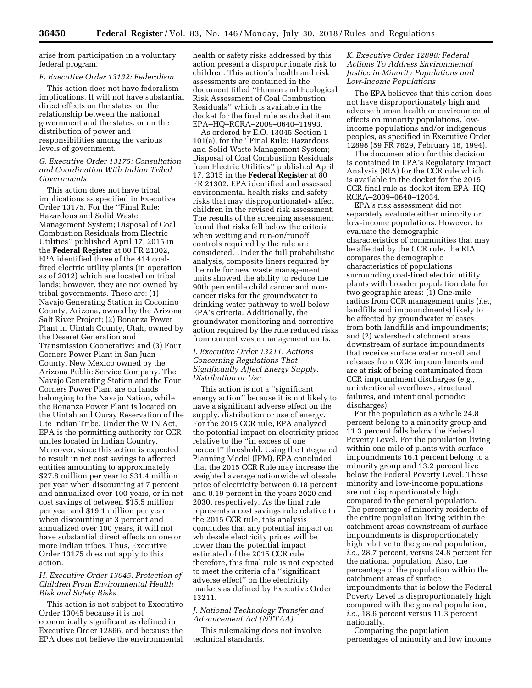arise from participation in a voluntary federal program.

## *F. Executive Order 13132: Federalism*

This action does not have federalism implications. It will not have substantial direct effects on the states, on the relationship between the national government and the states, or on the distribution of power and responsibilities among the various levels of government.

## *G. Executive Order 13175: Consultation and Coordination With Indian Tribal Governments*

This action does not have tribal implications as specified in Executive Order 13175. For the ''Final Rule: Hazardous and Solid Waste Management System; Disposal of Coal Combustion Residuals from Electric Utilities'' published April 17, 2015 in the **Federal Register** at 80 FR 21302, EPA identified three of the 414 coalfired electric utility plants (in operation as of 2012) which are located on tribal lands; however, they are not owned by tribal governments. These are: (1) Navajo Generating Station in Coconino County, Arizona, owned by the Arizona Salt River Project; (2) Bonanza Power Plant in Uintah County, Utah, owned by the Deseret Generation and Transmission Cooperative; and (3) Four Corners Power Plant in San Juan County, New Mexico owned by the Arizona Public Service Company. The Navajo Generating Station and the Four Corners Power Plant are on lands belonging to the Navajo Nation, while the Bonanza Power Plant is located on the Uintah and Ouray Reservation of the Ute Indian Tribe. Under the WIIN Act, EPA is the permitting authority for CCR unites located in Indian Country. Moreover, since this action is expected to result in net cost savings to affected entities amounting to approximately \$27.8 million per year to \$31.4 million per year when discounting at 7 percent and annualized over 100 years, or in net cost savings of between \$15.5 million per year and \$19.1 million per year when discounting at 3 percent and annualized over 100 years, it will not have substantial direct effects on one or more Indian tribes. Thus, Executive Order 13175 does not apply to this action.

### *H. Executive Order 13045: Protection of Children From Environmental Health Risk and Safety Risks*

This action is not subject to Executive Order 13045 because it is not economically significant as defined in Executive Order 12866, and because the EPA does not believe the environmental health or safety risks addressed by this action present a disproportionate risk to children. This action's health and risk assessments are contained in the document titled ''Human and Ecological Risk Assessment of Coal Combustion Residuals'' which is available in the docket for the final rule as docket item EPA–HQ–RCRA–2009–0640–11993.

As ordered by E.O. 13045 Section 1– 101(a), for the ''Final Rule: Hazardous and Solid Waste Management System; Disposal of Coal Combustion Residuals from Electric Utilities'' published April 17, 2015 in the **Federal Register** at 80 FR 21302, EPA identified and assessed environmental health risks and safety risks that may disproportionately affect children in the revised risk assessment. The results of the screening assessment found that risks fell below the criteria when wetting and run-on/runoff controls required by the rule are considered. Under the full probabilistic analysis, composite liners required by the rule for new waste management units showed the ability to reduce the 90th percentile child cancer and noncancer risks for the groundwater to drinking water pathway to well below EPA's criteria. Additionally, the groundwater monitoring and corrective action required by the rule reduced risks from current waste management units.

## *I. Executive Order 13211: Actions Concerning Regulations That Significantly Affect Energy Supply, Distribution or Use*

This action is not a ''significant energy action'' because it is not likely to have a significant adverse effect on the supply, distribution or use of energy. For the 2015 CCR rule, EPA analyzed the potential impact on electricity prices relative to the ''in excess of one percent'' threshold. Using the Integrated Planning Model (IPM), EPA concluded that the 2015 CCR Rule may increase the weighted average nationwide wholesale price of electricity between 0.18 percent and 0.19 percent in the years 2020 and 2030, respectively. As the final rule represents a cost savings rule relative to the 2015 CCR rule, this analysis concludes that any potential impact on wholesale electricity prices will be lower than the potential impact estimated of the 2015 CCR rule; therefore, this final rule is not expected to meet the criteria of a ''significant adverse effect'' on the electricity markets as defined by Executive Order 13211.

## *J. National Technology Transfer and Advancement Act (NTTAA)*

This rulemaking does not involve technical standards.

## *K. Executive Order 12898: Federal Actions To Address Environmental Justice in Minority Populations and Low-Income Populations*

The EPA believes that this action does not have disproportionately high and adverse human health or environmental effects on minority populations, lowincome populations and/or indigenous peoples, as specified in Executive Order 12898 (59 FR 7629, February 16, 1994).

The documentation for this decision is contained in EPA's Regulatory Impact Analysis (RIA) for the CCR rule which is available in the docket for the 2015 CCR final rule as docket item EPA–HQ– RCRA–2009–0640–12034.

EPA's risk assessment did not separately evaluate either minority or low-income populations. However, to evaluate the demographic characteristics of communities that may be affected by the CCR rule, the RIA compares the demographic characteristics of populations surrounding coal-fired electric utility plants with broader population data for two geographic areas: (1) One-mile radius from CCR management units (*i.e.,*  landfills and impoundments) likely to be affected by groundwater releases from both landfills and impoundments; and (2) watershed catchment areas downstream of surface impoundments that receive surface water run-off and releases from CCR impoundments and are at risk of being contaminated from CCR impoundment discharges (*e.g.,*  unintentional overflows, structural failures, and intentional periodic discharges).

For the population as a whole 24.8 percent belong to a minority group and 11.3 percent falls below the Federal Poverty Level. For the population living within one mile of plants with surface impoundments 16.1 percent belong to a minority group and 13.2 percent live below the Federal Poverty Level. These minority and low-income populations are not disproportionately high compared to the general population. The percentage of minority residents of the entire population living within the catchment areas downstream of surface impoundments is disproportionately high relative to the general population, *i.e.,* 28.7 percent, versus 24.8 percent for the national population. Also, the percentage of the population within the catchment areas of surface impoundments that is below the Federal Poverty Level is disproportionately high compared with the general population, *i.e.,* 18.6 percent versus 11.3 percent nationally.

Comparing the population percentages of minority and low income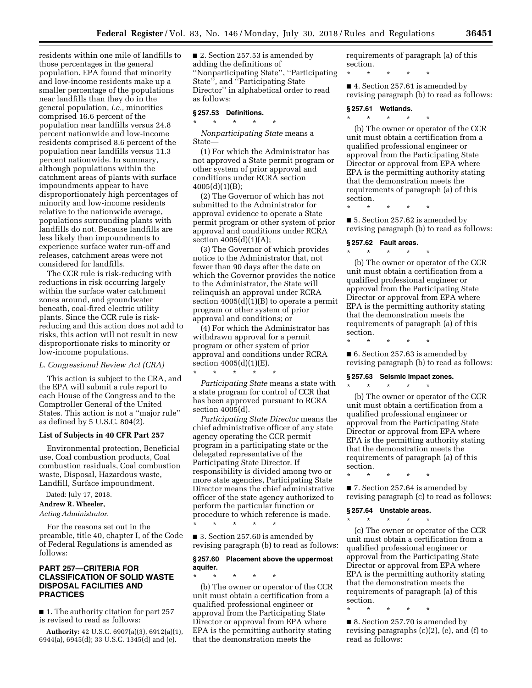residents within one mile of landfills to those percentages in the general population, EPA found that minority and low-income residents make up a smaller percentage of the populations near landfills than they do in the general population, *i.e.,* minorities comprised 16.6 percent of the population near landfills versus 24.8 percent nationwide and low-income residents comprised 8.6 percent of the population near landfills versus 11.3 percent nationwide. In summary, although populations within the catchment areas of plants with surface impoundments appear to have disproportionately high percentages of minority and low-income residents relative to the nationwide average, populations surrounding plants with landfills do not. Because landfills are less likely than impoundments to experience surface water run-off and releases, catchment areas were not considered for landfills.

The CCR rule is risk-reducing with reductions in risk occurring largely within the surface water catchment zones around, and groundwater beneath, coal-fired electric utility plants. Since the CCR rule is riskreducing and this action does not add to risks, this action will not result in new disproportionate risks to minority or low-income populations.

#### *L. Congressional Review Act (CRA)*

This action is subject to the CRA, and the EPA will submit a rule report to each House of the Congress and to the Comptroller General of the United States. This action is not a ''major rule'' as defined by 5 U.S.C. 804(2).

#### **List of Subjects in 40 CFR Part 257**

Environmental protection, Beneficial use, Coal combustion products, Coal combustion residuals, Coal combustion waste, Disposal, Hazardous waste, Landfill, Surface impoundment.

Dated: July 17, 2018.

**Andrew R. Wheeler,**  *Acting Administrator.* 

For the reasons set out in the preamble, title 40, chapter I, of the Code of Federal Regulations is amended as follows:

## **PART 257—CRITERIA FOR CLASSIFICATION OF SOLID WASTE DISPOSAL FACILITIES AND PRACTICES**

■ 1. The authority citation for part 257 is revised to read as follows:

**Authority:** 42 U.S.C. 6907(a)(3), 6912(a)(1), 6944(a), 6945(d); 33 U.S.C. 1345(d) and (e).

■ 2. Section 257.53 is amended by adding the definitions of ''Nonparticipating State'', ''Participating State'', and ''Participating State Director'' in alphabetical order to read as follows:

#### **§ 257.53 Definitions.**  \* \* \* \* \*

*Nonparticipating State* means a State—

(1) For which the Administrator has not approved a State permit program or other system of prior approval and conditions under RCRA section 4005(d)(1)(B);

(2) The Governor of which has not submitted to the Administrator for approval evidence to operate a State permit program or other system of prior approval and conditions under RCRA section 4005(d)(1)(A);

(3) The Governor of which provides notice to the Administrator that, not fewer than 90 days after the date on which the Governor provides the notice to the Administrator, the State will relinquish an approval under RCRA section 4005(d)(1)(B) to operate a permit program or other system of prior approval and conditions; or

(4) For which the Administrator has withdrawn approval for a permit program or other system of prior approval and conditions under RCRA section 4005(d)(1)(E). \* \* \* \* \*

*Participating State* means a state with a state program for control of CCR that has been approved pursuant to RCRA section 4005(d).

*Participating State Director* means the chief administrative officer of any state agency operating the CCR permit program in a participating state or the delegated representative of the Participating State Director. If responsibility is divided among two or more state agencies, Participating State Director means the chief administrative officer of the state agency authorized to perform the particular function or procedure to which reference is made. \* \* \* \* \*

■ 3. Section 257.60 is amended by revising paragraph (b) to read as follows:

### **§ 257.60 Placement above the uppermost aquifer.**

\* \* \* \* \* (b) The owner or operator of the CCR unit must obtain a certification from a qualified professional engineer or approval from the Participating State Director or approval from EPA where EPA is the permitting authority stating that the demonstration meets the

requirements of paragraph (a) of this section.

\* \* \* \* \*

■ 4. Section 257.61 is amended by revising paragraph (b) to read as follows:

## **§ 257.61 Wetlands.**

\* \* \* \* \*

(b) The owner or operator of the CCR unit must obtain a certification from a qualified professional engineer or approval from the Participating State Director or approval from EPA where EPA is the permitting authority stating that the demonstration meets the requirements of paragraph (a) of this section.

\* \* \* \* \*

■ 5. Section 257.62 is amended by revising paragraph (b) to read as follows:

## **§ 257.62 Fault areas.**

\* \* \* \* \* (b) The owner or operator of the CCR unit must obtain a certification from a qualified professional engineer or approval from the Participating State Director or approval from EPA where EPA is the permitting authority stating that the demonstration meets the requirements of paragraph (a) of this section.

■ 6. Section 257.63 is amended by revising paragraph (b) to read as follows:

#### **§ 257.63 Seismic impact zones.**

\* \* \* \* \*

\* \* \* \* \* (b) The owner or operator of the CCR unit must obtain a certification from a qualified professional engineer or approval from the Participating State Director or approval from EPA where EPA is the permitting authority stating that the demonstration meets the requirements of paragraph (a) of this section.

\* \* \* \* \*

■ 7. Section 257.64 is amended by revising paragraph (c) to read as follows:

### **§ 257.64 Unstable areas.**

\* \* \* \* \*

(c) The owner or operator of the CCR unit must obtain a certification from a qualified professional engineer or approval from the Participating State Director or approval from EPA where EPA is the permitting authority stating that the demonstration meets the requirements of paragraph (a) of this section.

\* \* \* \* \*

■ 8. Section 257.70 is amended by revising paragraphs (c)(2), (e), and (f) to read as follows: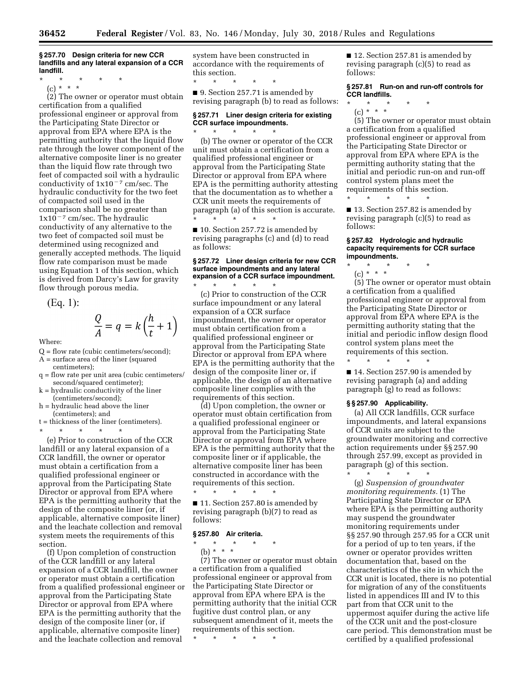#### **§ 257.70 Design criteria for new CCR landfills and any lateral expansion of a CCR landfill.**

\* \* \* \* \*

(c) \* \* \*

(2) The owner or operator must obtain certification from a qualified professional engineer or approval from the Participating State Director or approval from EPA where EPA is the permitting authority that the liquid flow rate through the lower component of the alternative composite liner is no greater than the liquid flow rate through two feet of compacted soil with a hydraulic conductivity of  $1x10^{-7}$  cm/sec. The hydraulic conductivity for the two feet of compacted soil used in the comparison shall be no greater than  $1x10^{-7}$  cm/sec. The hydraulic conductivity of any alternative to the two feet of compacted soil must be determined using recognized and generally accepted methods. The liquid flow rate comparison must be made using Equation 1 of this section, which is derived from Darcy's Law for gravity flow through porous media.

$$
(Eq. 1):
$$

$$
\frac{Q}{A} = q = k \left( \frac{h}{t} + 1 \right)
$$

Where:

- Q = flow rate (cubic centimeters/second);
- A = surface area of the liner (squared centimeters);
- q = flow rate per unit area (cubic centimeters/ second/squared centimeter);
- $k = hydraulic$  conductivity of the liner (centimeters/second);
- h = hydraulic head above the liner (centimeters); and

\* \* \* \* \*

t = thickness of the liner (centimeters).

(e) Prior to construction of the CCR landfill or any lateral expansion of a CCR landfill, the owner or operator must obtain a certification from a qualified professional engineer or approval from the Participating State Director or approval from EPA where EPA is the permitting authority that the design of the composite liner (or, if applicable, alternative composite liner) and the leachate collection and removal system meets the requirements of this section.

(f) Upon completion of construction of the CCR landfill or any lateral expansion of a CCR landfill, the owner or operator must obtain a certification from a qualified professional engineer or approval from the Participating State Director or approval from EPA where EPA is the permitting authority that the design of the composite liner (or, if applicable, alternative composite liner) and the leachate collection and removal

system have been constructed in accordance with the requirements of this section.

\* \* \* \* \* ■ 9. Section 257.71 is amended by revising paragraph (b) to read as follows:

### **§ 257.71 Liner design criteria for existing CCR surface impoundments.**  \* \* \* \* \*

(b) The owner or operator of the CCR unit must obtain a certification from a qualified professional engineer or approval from the Participating State Director or approval from EPA where EPA is the permitting authority attesting that the documentation as to whether a CCR unit meets the requirements of paragraph (a) of this section is accurate. \* \* \* \* \*

■ 10. Section 257.72 is amended by revising paragraphs (c) and (d) to read as follows:

## **§ 257.72 Liner design criteria for new CCR surface impoundments and any lateral expansion of a CCR surface impoundment.**

\* \* \* \* \* (c) Prior to construction of the CCR surface impoundment or any lateral expansion of a CCR surface impoundment, the owner or operator must obtain certification from a qualified professional engineer or approval from the Participating State Director or approval from EPA where EPA is the permitting authority that the design of the composite liner or, if applicable, the design of an alternative composite liner complies with the requirements of this section.

(d) Upon completion, the owner or operator must obtain certification from a qualified professional engineer or approval from the Participating State Director or approval from EPA where EPA is the permitting authority that the composite liner or if applicable, the alternative composite liner has been constructed in accordance with the requirements of this section.

\* \* \* \* \* ■ 11. Section 257.80 is amended by revising paragraph (b)(7) to read as follows:

#### **§ 257.80 Air criteria.**

\* \* \* \* \*

(b) \* \* \*

(7) The owner or operator must obtain a certification from a qualified professional engineer or approval from the Participating State Director or approval from EPA where EPA is the permitting authority that the initial CCR fugitive dust control plan, or any subsequent amendment of it, meets the requirements of this section.

\* \* \* \* \*

■ 12. Section 257.81 is amended by revising paragraph (c)(5) to read as follows:

**§ 257.81 Run-on and run-off controls for CCR landfills.** 

- \* \* \* \* \*
	- (c) \* \* \*

(5) The owner or operator must obtain a certification from a qualified professional engineer or approval from the Participating State Director or approval from EPA where EPA is the permitting authority stating that the initial and periodic run-on and run-off control system plans meet the requirements of this section.

\* \* \* \* \* ■ 13. Section 257.82 is amended by revising paragraph (c)(5) to read as

#### **§ 257.82 Hydrologic and hydraulic capacity requirements for CCR surface impoundments.**

- \* \* \* \* \*
	- (c) \* \* \*

follows:

(5) The owner or operator must obtain a certification from a qualified professional engineer or approval from the Participating State Director or approval from EPA where EPA is the permitting authority stating that the initial and periodic inflow design flood control system plans meet the requirements of this section.

\* \* \* \* \* ■ 14. Section 257.90 is amended by revising paragraph (a) and adding paragraph (g) to read as follows:

### **§ § 257.90 Applicability.**

(a) All CCR landfills, CCR surface impoundments, and lateral expansions of CCR units are subject to the groundwater monitoring and corrective action requirements under §§ 257.90 through 257.99, except as provided in paragraph (g) of this section.

\* \* \* \* \* (g) *Suspension of groundwater monitoring requirements.* (1) The Participating State Director or EPA where EPA is the permitting authority may suspend the groundwater monitoring requirements under §§ 257.90 through 257.95 for a CCR unit for a period of up to ten years, if the owner or operator provides written documentation that, based on the characteristics of the site in which the CCR unit is located, there is no potential for migration of any of the constituents listed in appendices III and IV to this part from that CCR unit to the uppermost aquifer during the active life of the CCR unit and the post-closure care period. This demonstration must be certified by a qualified professional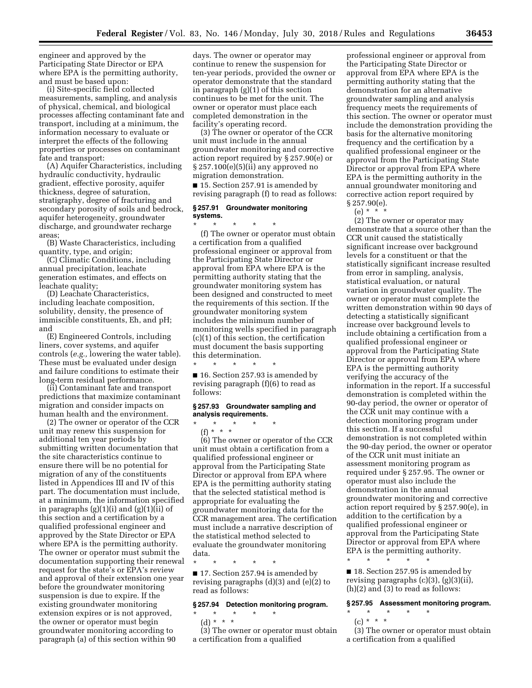engineer and approved by the Participating State Director or EPA where EPA is the permitting authority, and must be based upon:

(i) Site-specific field collected measurements, sampling, and analysis of physical, chemical, and biological processes affecting contaminant fate and transport, including at a minimum, the information necessary to evaluate or interpret the effects of the following properties or processes on contaminant fate and transport:

(A) Aquifer Characteristics, including hydraulic conductivity, hydraulic gradient, effective porosity, aquifer thickness, degree of saturation, stratigraphy, degree of fracturing and secondary porosity of soils and bedrock, aquifer heterogeneity, groundwater discharge, and groundwater recharge areas;

(B) Waste Characteristics, including quantity, type, and origin;

(C) Climatic Conditions, including annual precipitation, leachate generation estimates, and effects on leachate quality;

(D) Leachate Characteristics, including leachate composition, solubility, density, the presence of immiscible constituents, Eh, and pH; and

(E) Engineered Controls, including liners, cover systems, and aquifer controls (*e.g.,* lowering the water table). These must be evaluated under design and failure conditions to estimate their long-term residual performance.

(ii) Contaminant fate and transport predictions that maximize contaminant migration and consider impacts on human health and the environment.

(2) The owner or operator of the CCR unit may renew this suspension for additional ten year periods by submitting written documentation that the site characteristics continue to ensure there will be no potential for migration of any of the constituents listed in Appendices III and IV of this part. The documentation must include, at a minimum, the information specified in paragraphs (g)(1)(i) and (g)(1)(ii) of this section and a certification by a qualified professional engineer and approved by the State Director or EPA where EPA is the permitting authority. The owner or operator must submit the documentation supporting their renewal request for the state's or EPA's review and approval of their extension one year before the groundwater monitoring suspension is due to expire. If the existing groundwater monitoring extension expires or is not approved, the owner or operator must begin groundwater monitoring according to paragraph (a) of this section within 90

days. The owner or operator may continue to renew the suspension for ten-year periods, provided the owner or operator demonstrate that the standard in paragraph (g)(1) of this section continues to be met for the unit. The owner or operator must place each completed demonstration in the facility's operating record.

(3) The owner or operator of the CCR unit must include in the annual groundwater monitoring and corrective action report required by § 257.90(e) or § 257.100(e)(5)(ii) any approved no migration demonstration.

■ 15. Section 257.91 is amended by revising paragraph (f) to read as follows:

### **§ 257.91 Groundwater monitoring systems.**

\* \* \* \* \* (f) The owner or operator must obtain a certification from a qualified professional engineer or approval from the Participating State Director or approval from EPA where EPA is the permitting authority stating that the groundwater monitoring system has been designed and constructed to meet the requirements of this section. If the groundwater monitoring system includes the minimum number of monitoring wells specified in paragraph (c)(1) of this section, the certification must document the basis supporting this determination.

\* \* \* \* \* ■ 16. Section 257.93 is amended by revising paragraph (f)(6) to read as follows:

#### **§ 257.93 Groundwater sampling and analysis requirements.**

\* \* \* \* \* (f) \* \* \* (6) The owner or operator of the CCR unit must obtain a certification from a qualified professional engineer or approval from the Participating State Director or approval from EPA where EPA is the permitting authority stating that the selected statistical method is appropriate for evaluating the groundwater monitoring data for the CCR management area. The certification must include a narrative description of the statistical method selected to evaluate the groundwater monitoring data.

\* \* \* \* \*

■ 17. Section 257.94 is amended by revising paragraphs (d)(3) and (e)(2) to read as follows:

#### **§ 257.94 Detection monitoring program.**

\* \* \* \* \*

(d) \* \* \* \*

(3) The owner or operator must obtain a certification from a qualified

professional engineer or approval from the Participating State Director or approval from EPA where EPA is the permitting authority stating that the demonstration for an alternative groundwater sampling and analysis frequency meets the requirements of this section. The owner or operator must include the demonstration providing the basis for the alternative monitoring frequency and the certification by a qualified professional engineer or the approval from the Participating State Director or approval from EPA where EPA is the permitting authority in the annual groundwater monitoring and corrective action report required by § 257.90(e).

 $(e) * *$ 

(2) The owner or operator may demonstrate that a source other than the CCR unit caused the statistically significant increase over background levels for a constituent or that the statistically significant increase resulted from error in sampling, analysis, statistical evaluation, or natural variation in groundwater quality. The owner or operator must complete the written demonstration within 90 days of detecting a statistically significant increase over background levels to include obtaining a certification from a qualified professional engineer or approval from the Participating State Director or approval from EPA where EPA is the permitting authority verifying the accuracy of the information in the report. If a successful demonstration is completed within the 90-day period, the owner or operator of the CCR unit may continue with a detection monitoring program under this section. If a successful demonstration is not completed within the 90-day period, the owner or operator of the CCR unit must initiate an assessment monitoring program as required under § 257.95. The owner or operator must also include the demonstration in the annual groundwater monitoring and corrective action report required by § 257.90(e), in addition to the certification by a qualified professional engineer or approval from the Participating State Director or approval from EPA where EPA is the permitting authority.

■ 18. Section 257.95 is amended by revising paragraphs (c)(3), (g)(3)(ii), (h)(2) and (3) to read as follows:

\* \* \* \* \*

#### **§ 257.95 Assessment monitoring program.**

# \* \* \* \* \*  $(c) * * * *$

(3) The owner or operator must obtain a certification from a qualified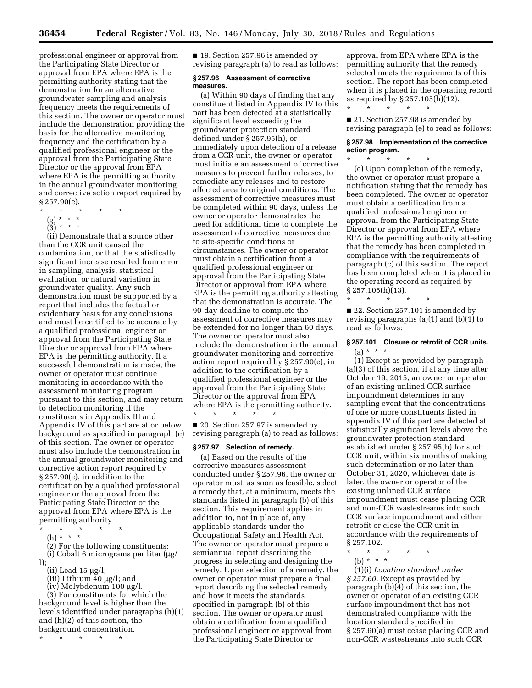professional engineer or approval from the Participating State Director or approval from EPA where EPA is the permitting authority stating that the demonstration for an alternative groundwater sampling and analysis frequency meets the requirements of this section. The owner or operator must include the demonstration providing the basis for the alternative monitoring frequency and the certification by a qualified professional engineer or the approval from the Participating State Director or the approval from EPA where EPA is the permitting authority in the annual groundwater monitoring and corrective action report required by § 257.90(e).

- \* \* \* \* \*
	- (g) \* \* \*
	- (3) \* \* \*

(ii) Demonstrate that a source other than the CCR unit caused the contamination, or that the statistically significant increase resulted from error in sampling, analysis, statistical evaluation, or natural variation in groundwater quality. Any such demonstration must be supported by a report that includes the factual or evidentiary basis for any conclusions and must be certified to be accurate by a qualified professional engineer or approval from the Participating State Director or approval from EPA where EPA is the permitting authority. If a successful demonstration is made, the owner or operator must continue monitoring in accordance with the assessment monitoring program pursuant to this section, and may return to detection monitoring if the constituents in Appendix III and Appendix IV of this part are at or below background as specified in paragraph (e) of this section. The owner or operator must also include the demonstration in the annual groundwater monitoring and corrective action report required by § 257.90(e), in addition to the certification by a qualified professional engineer or the approval from the Participating State Director or the approval from EPA where EPA is the permitting authority.

- $\star$   $\star$   $\star$
- (h) \* \* \*

(2) For the following constituents: (i) Cobalt 6 micrograms per liter  $\mu$ g/

- l);
	- (ii) Lead  $15 \mu g/l$ ;
	- (iii) Lithium  $40 \mu g/l$ ; and  $(iv)$  Molybdenum 100  $\mu$ g/l.

(3) For constituents for which the background level is higher than the levels identified under paragraphs (h)(1) and (h)(2) of this section, the background concentration.

\* \* \* \* \*

■ 19. Section 257.96 is amended by revising paragraph (a) to read as follows:

### **§ 257.96 Assessment of corrective measures.**

(a) Within 90 days of finding that any constituent listed in Appendix IV to this part has been detected at a statistically significant level exceeding the groundwater protection standard defined under § 257.95(h), or immediately upon detection of a release from a CCR unit, the owner or operator must initiate an assessment of corrective measures to prevent further releases, to remediate any releases and to restore affected area to original conditions. The assessment of corrective measures must be completed within 90 days, unless the owner or operator demonstrates the need for additional time to complete the assessment of corrective measures due to site-specific conditions or circumstances. The owner or operator must obtain a certification from a qualified professional engineer or approval from the Participating State Director or approval from EPA where EPA is the permitting authority attesting that the demonstration is accurate. The 90-day deadline to complete the assessment of corrective measures may be extended for no longer than 60 days. The owner or operator must also include the demonstration in the annual groundwater monitoring and corrective action report required by § 257.90(e), in addition to the certification by a qualified professional engineer or the approval from the Participating State Director or the approval from EPA where EPA is the permitting authority. \* \* \* \* \*

■ 20. Section 257.97 is amended by revising paragraph (a) to read as follows:

### **§ 257.97 Selection of remedy.**

(a) Based on the results of the corrective measures assessment conducted under § 257.96, the owner or operator must, as soon as feasible, select a remedy that, at a minimum, meets the standards listed in paragraph (b) of this section. This requirement applies in addition to, not in place of, any applicable standards under the Occupational Safety and Health Act. The owner or operator must prepare a semiannual report describing the progress in selecting and designing the remedy. Upon selection of a remedy, the owner or operator must prepare a final report describing the selected remedy and how it meets the standards specified in paragraph (b) of this section. The owner or operator must obtain a certification from a qualified professional engineer or approval from the Participating State Director or

approval from EPA where EPA is the permitting authority that the remedy selected meets the requirements of this section. The report has been completed when it is placed in the operating record as required by  $\S 257.105(h)(12)$ . \* \* \* \* \*

■ 21. Section 257.98 is amended by revising paragraph (e) to read as follows:

### **§ 257.98 Implementation of the corrective action program.**  \* \* \* \* \*

(e) Upon completion of the remedy, the owner or operator must prepare a notification stating that the remedy has been completed. The owner or operator must obtain a certification from a qualified professional engineer or approval from the Participating State Director or approval from EPA where EPA is the permitting authority attesting that the remedy has been completed in compliance with the requirements of paragraph (c) of this section. The report has been completed when it is placed in the operating record as required by  $\S 257.105(h)(13)$ .

 $\star$   $\star$ 

■ 22. Section 257.101 is amended by revising paragraphs (a)(1) and (b)(1) to read as follows:

# **§ 257.101 Closure or retrofit of CCR units.**   $(a) * * * *$

(1) Except as provided by paragraph (a)(3) of this section, if at any time after October 19, 2015, an owner or operator of an existing unlined CCR surface impoundment determines in any sampling event that the concentrations of one or more constituents listed in appendix IV of this part are detected at statistically significant levels above the groundwater protection standard established under § 257.95(h) for such CCR unit, within six months of making such determination or no later than October 31, 2020, whichever date is later, the owner or operator of the existing unlined CCR surface impoundment must cease placing CCR and non-CCR wastestreams into such CCR surface impoundment and either retrofit or close the CCR unit in accordance with the requirements of § 257.102.

- \* \* \* \* \*
	- (b) \* \* \*

(1)(i) *Location standard under § 257.60.* Except as provided by paragraph (b)(4) of this section, the owner or operator of an existing CCR surface impoundment that has not demonstrated compliance with the location standard specified in § 257.60(a) must cease placing CCR and non-CCR wastestreams into such CCR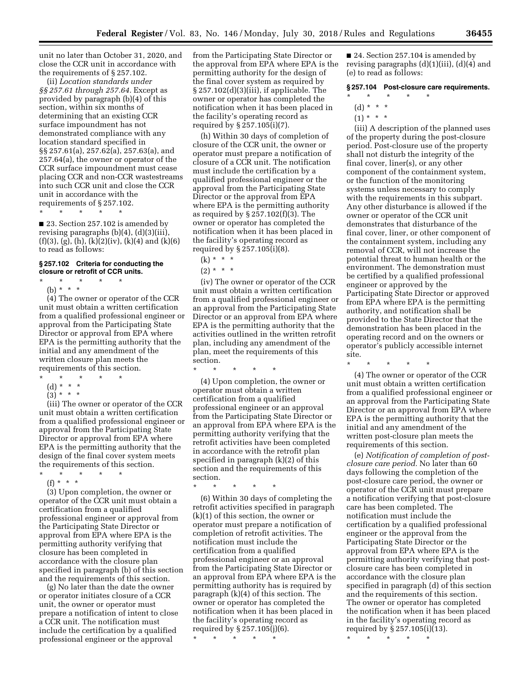unit no later than October 31, 2020, and close the CCR unit in accordance with the requirements of § 257.102.

(ii) *Location standards under §§ 257.61 through 257.64.* Except as provided by paragraph (b)(4) of this section, within six months of determining that an existing CCR surface impoundment has not demonstrated compliance with any location standard specified in §§ 257.61(a), 257.62(a), 257.63(a), and 257.64(a), the owner or operator of the CCR surface impoundment must cease placing CCR and non-CCR wastestreams into such CCR unit and close the CCR unit in accordance with the requirements of § 257.102.

\* \* \* \* \*

■ 23. Section 257.102 is amended by revising paragraphs (b)(4), (d)(3)(iii),  $(f)(3)$ ,  $(g)$ ,  $(h)$ ,  $(k)(2)(iv)$ ,  $(k)(4)$  and  $(k)(6)$ to read as follows:

#### **§ 257.102 Criteria for conducting the closure or retrofit of CCR units.**

\* \* \* \* \* (b) \* \* \*

(4) The owner or operator of the CCR unit must obtain a written certification from a qualified professional engineer or approval from the Participating State Director or approval from EPA where EPA is the permitting authority that the initial and any amendment of the written closure plan meets the requirements of this section.

- \* \* \* \* \*
- (d) \* \* \* \*
- $(3) * * * *$

(iii) The owner or operator of the CCR unit must obtain a written certification from a qualified professional engineer or approval from the Participating State Director or approval from EPA where EPA is the permitting authority that the design of the final cover system meets the requirements of this section.

\* \* \* \* \* (f) \* \* \*

(3) Upon completion, the owner or operator of the CCR unit must obtain a certification from a qualified professional engineer or approval from the Participating State Director or approval from EPA where EPA is the permitting authority verifying that closure has been completed in accordance with the closure plan specified in paragraph (b) of this section and the requirements of this section.

(g) No later than the date the owner or operator initiates closure of a CCR unit, the owner or operator must prepare a notification of intent to close a CCR unit. The notification must include the certification by a qualified professional engineer or the approval

from the Participating State Director or the approval from EPA where EPA is the permitting authority for the design of the final cover system as required by § 257.102(d)(3)(iii), if applicable. The owner or operator has completed the notification when it has been placed in the facility's operating record as required by § 257.105(i)(7).

(h) Within 30 days of completion of closure of the CCR unit, the owner or operator must prepare a notification of closure of a CCR unit. The notification must include the certification by a qualified professional engineer or the approval from the Participating State Director or the approval from EPA where EPA is the permitting authority as required by § 257.102(f)(3). The owner or operator has completed the notification when it has been placed in the facility's operating record as required by § 257.105(i)(8).

 $(2) * * * *$ 

(iv) The owner or operator of the CCR unit must obtain a written certification from a qualified professional engineer or an approval from the Participating State Director or an approval from EPA where EPA is the permitting authority that the activities outlined in the written retrofit plan, including any amendment of the plan, meet the requirements of this section.

\* \* \* \* \*

(4) Upon completion, the owner or operator must obtain a written certification from a qualified professional engineer or an approval from the Participating State Director or an approval from EPA where EPA is the permitting authority verifying that the retrofit activities have been completed in accordance with the retrofit plan specified in paragraph (k)(2) of this section and the requirements of this section.

\* \* \* \* \*

(6) Within 30 days of completing the retrofit activities specified in paragraph (k)(1) of this section, the owner or operator must prepare a notification of completion of retrofit activities. The notification must include the certification from a qualified professional engineer or an approval from the Participating State Director or an approval from EPA where EPA is the permitting authority has is required by paragraph (k)(4) of this section. The owner or operator has completed the notification when it has been placed in the facility's operating record as required by § 257.105(j)(6).

\* \* \* \* \*

■ 24. Section 257.104 is amended by revising paragraphs  $(d)(1)(iii)$ ,  $(d)(4)$  and (e) to read as follows:

#### **§ 257.104 Post-closure care requirements.**

- \* \* \* \* \*
	- (d) \* \* \*
	- $(1) * * * *$

(iii) A description of the planned uses of the property during the post-closure period. Post-closure use of the property shall not disturb the integrity of the final cover, liner(s), or any other component of the containment system, or the function of the monitoring systems unless necessary to comply with the requirements in this subpart. Any other disturbance is allowed if the owner or operator of the CCR unit demonstrates that disturbance of the final cover, liner, or other component of the containment system, including any removal of CCR, will not increase the potential threat to human health or the environment. The demonstration must be certified by a qualified professional engineer or approved by the Participating State Director or approved from EPA where EPA is the permitting authority, and notification shall be provided to the State Director that the demonstration has been placed in the operating record and on the owners or operator's publicly accessible internet site. \* \* \* \* \*

(4) The owner or operator of the CCR unit must obtain a written certification from a qualified professional engineer or an approval from the Participating State Director or an approval from EPA where EPA is the permitting authority that the initial and any amendment of the written post-closure plan meets the requirements of this section.

(e) *Notification of completion of postclosure care period.* No later than 60 days following the completion of the post-closure care period, the owner or operator of the CCR unit must prepare a notification verifying that post-closure care has been completed. The notification must include the certification by a qualified professional engineer or the approval from the Participating State Director or the approval from EPA where EPA is the permitting authority verifying that postclosure care has been completed in accordance with the closure plan specified in paragraph (d) of this section and the requirements of this section. The owner or operator has completed the notification when it has been placed in the facility's operating record as required by § 257.105(i)(13).

\* \* \* \* \*

 $(k) * * * *$